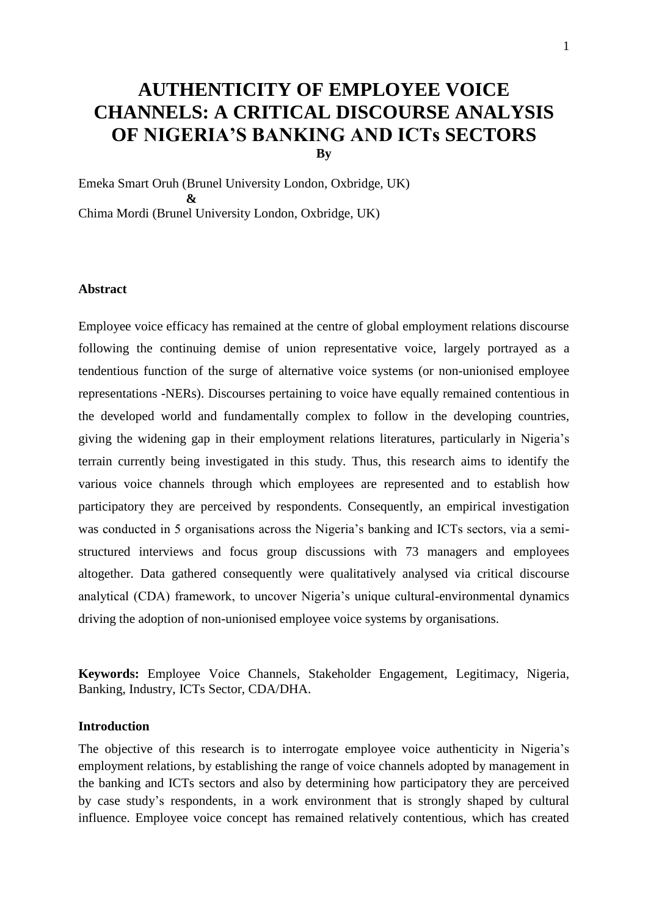# **AUTHENTICITY OF EMPLOYEE VOICE CHANNELS: A CRITICAL DISCOURSE ANALYSIS OF NIGERIA'S BANKING AND ICTs SECTORS By**

Emeka Smart Oruh (Brunel University London, Oxbridge, UK) **&** Chima Mordi (Brunel University London, Oxbridge, UK)

#### **Abstract**

Employee voice efficacy has remained at the centre of global employment relations discourse following the continuing demise of union representative voice, largely portrayed as a tendentious function of the surge of alternative voice systems (or non-unionised employee representations -NERs). Discourses pertaining to voice have equally remained contentious in the developed world and fundamentally complex to follow in the developing countries, giving the widening gap in their employment relations literatures, particularly in Nigeria's terrain currently being investigated in this study. Thus, this research aims to identify the various voice channels through which employees are represented and to establish how participatory they are perceived by respondents. Consequently, an empirical investigation was conducted in 5 organisations across the Nigeria's banking and ICTs sectors, via a semistructured interviews and focus group discussions with 73 managers and employees altogether. Data gathered consequently were qualitatively analysed via critical discourse analytical (CDA) framework, to uncover Nigeria's unique cultural-environmental dynamics driving the adoption of non-unionised employee voice systems by organisations.

**Keywords:** Employee Voice Channels, Stakeholder Engagement, Legitimacy, Nigeria, Banking, Industry, ICTs Sector, CDA/DHA.

#### **Introduction**

The objective of this research is to interrogate employee voice authenticity in Nigeria's employment relations, by establishing the range of voice channels adopted by management in the banking and ICTs sectors and also by determining how participatory they are perceived by case study's respondents, in a work environment that is strongly shaped by cultural influence. Employee voice concept has remained relatively contentious, which has created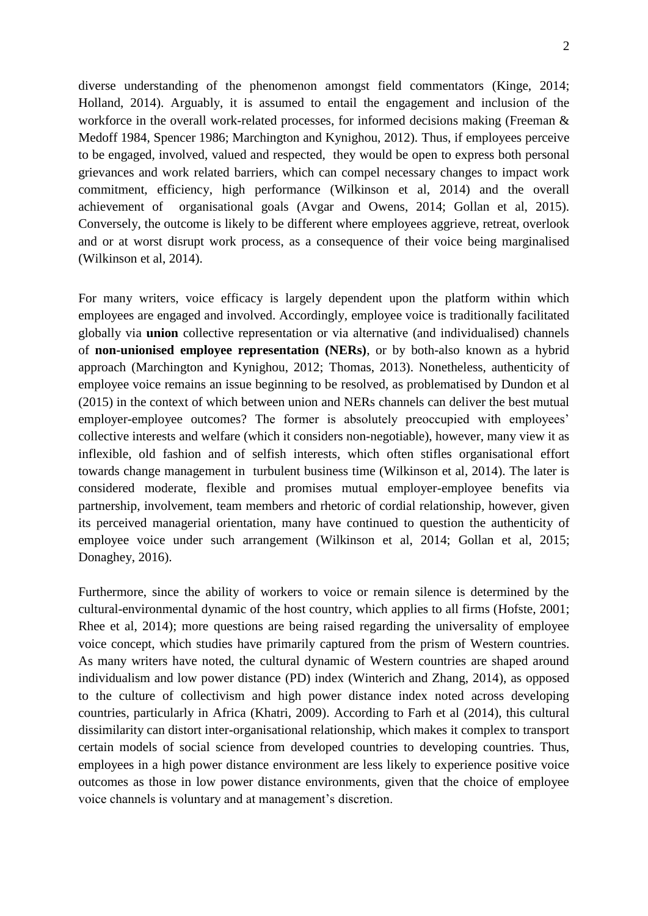diverse understanding of the phenomenon amongst field commentators (Kinge, 2014; Holland, 2014). Arguably, it is assumed to entail the engagement and inclusion of the workforce in the overall work-related processes, for informed decisions making (Freeman & Medoff 1984, Spencer 1986; Marchington and Kynighou, 2012). Thus, if employees perceive to be engaged, involved, valued and respected, they would be open to express both personal grievances and work related barriers, which can compel necessary changes to impact work commitment, efficiency, high performance (Wilkinson et al, 2014) and the overall achievement of organisational goals (Avgar and Owens, 2014; Gollan et al, 2015). Conversely, the outcome is likely to be different where employees aggrieve, retreat, overlook and or at worst disrupt work process, as a consequence of their voice being marginalised (Wilkinson et al, 2014).

For many writers, voice efficacy is largely dependent upon the platform within which employees are engaged and involved. Accordingly, employee voice is traditionally facilitated globally via **union** collective representation or via alternative (and individualised) channels of **non-unionised employee representation (NERs)**, or by both-also known as a hybrid approach (Marchington and Kynighou, 2012; Thomas, 2013). Nonetheless, authenticity of employee voice remains an issue beginning to be resolved, as problematised by Dundon et al (2015) in the context of which between union and NERs channels can deliver the best mutual employer-employee outcomes? The former is absolutely preoccupied with employees' collective interests and welfare (which it considers non-negotiable), however, many view it as inflexible, old fashion and of selfish interests, which often stifles organisational effort towards change management in turbulent business time (Wilkinson et al, 2014). The later is considered moderate, flexible and promises mutual employer-employee benefits via partnership, involvement, team members and rhetoric of cordial relationship*,* however, given its perceived managerial orientation, many have continued to question the authenticity of employee voice under such arrangement (Wilkinson et al, 2014; Gollan et al, 2015; Donaghey, 2016).

Furthermore, since the ability of workers to voice or remain silence is determined by the cultural-environmental dynamic of the host country, which applies to all firms (Hofste, 2001; Rhee et al, 2014); more questions are being raised regarding the universality of employee voice concept, which studies have primarily captured from the prism of Western countries. As many writers have noted, the cultural dynamic of Western countries are shaped around individualism and low power distance (PD) index (Winterich and Zhang, 2014), as opposed to the culture of collectivism and high power distance index noted across developing countries, particularly in Africa (Khatri, 2009). According to Farh et al (2014), this cultural dissimilarity can distort inter-organisational relationship, which makes it complex to transport certain models of social science from developed countries to developing countries. Thus, employees in a high power distance environment are less likely to experience positive voice outcomes as those in low power distance environments, given that the choice of employee voice channels is voluntary and at management's discretion.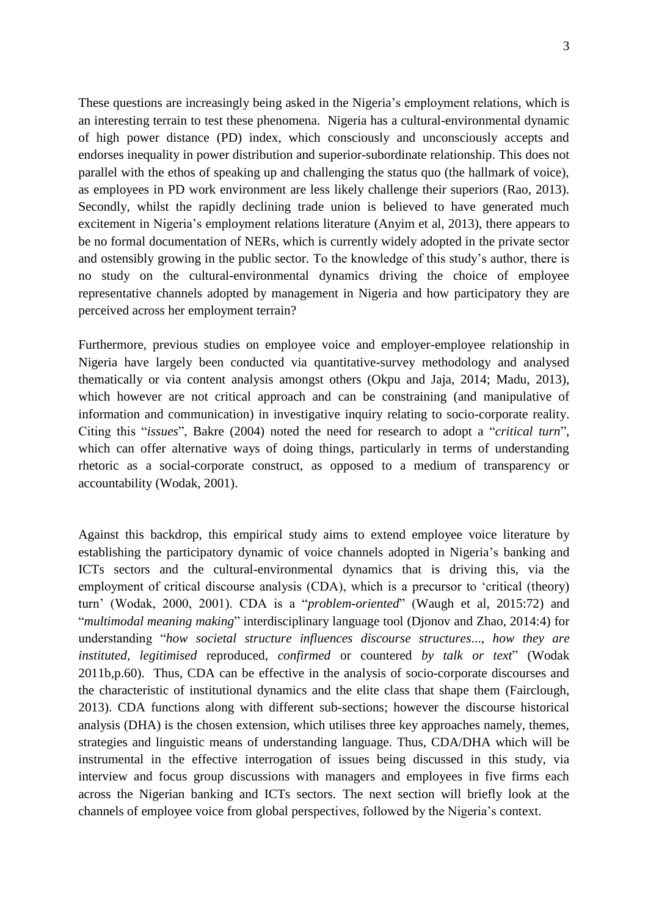These questions are increasingly being asked in the Nigeria's employment relations, which is an interesting terrain to test these phenomena. Nigeria has a cultural-environmental dynamic of high power distance (PD) index, which consciously and unconsciously accepts and endorses inequality in power distribution and superior-subordinate relationship. This does not parallel with the ethos of speaking up and challenging the status quo (the hallmark of voice), as employees in PD work environment are less likely challenge their superiors (Rao, 2013). Secondly, whilst the rapidly declining trade union is believed to have generated much excitement in Nigeria's employment relations literature (Anyim et al, 2013), there appears to be no formal documentation of NERs, which is currently widely adopted in the private sector and ostensibly growing in the public sector. To the knowledge of this study's author, there is no study on the cultural-environmental dynamics driving the choice of employee representative channels adopted by management in Nigeria and how participatory they are perceived across her employment terrain?

Furthermore, previous studies on employee voice and employer-employee relationship in Nigeria have largely been conducted via quantitative-survey methodology and analysed thematically or via content analysis amongst others (Okpu and Jaja, 2014; Madu, 2013), which however are not critical approach and can be constraining (and manipulative of information and communication) in investigative inquiry relating to socio-corporate reality. Citing this "*issues*", Bakre (2004) noted the need for research to adopt a "*critical turn*", which can offer alternative ways of doing things, particularly in terms of understanding rhetoric as a social-corporate construct, as opposed to a medium of transparency or accountability (Wodak, 2001).

Against this backdrop, this empirical study aims to extend employee voice literature by establishing the participatory dynamic of voice channels adopted in Nigeria's banking and ICTs sectors and the cultural-environmental dynamics that is driving this, via the employment of critical discourse analysis (CDA), which is a precursor to 'critical (theory) turn' (Wodak, 2000, 2001). CDA is a "*problem-oriented*" (Waugh et al, 2015:72) and "*multimodal meaning making*" interdisciplinary language tool (Djonov and Zhao, 2014:4) for understanding "*how societal structure influences discourse structures*..., *how they are instituted, legitimised* reproduced*, confirmed* or countered *by talk or text*" (Wodak 2011b,p.60). Thus, CDA can be effective in the analysis of socio-corporate discourses and the characteristic of institutional dynamics and the elite class that shape them (Fairclough, 2013). CDA functions along with different sub-sections; however the discourse historical analysis (DHA) is the chosen extension, which utilises three key approaches namely, themes, strategies and linguistic means of understanding language. Thus, CDA/DHA which will be instrumental in the effective interrogation of issues being discussed in this study, via interview and focus group discussions with managers and employees in five firms each across the Nigerian banking and ICTs sectors. The next section will briefly look at the channels of employee voice from global perspectives, followed by the Nigeria's context.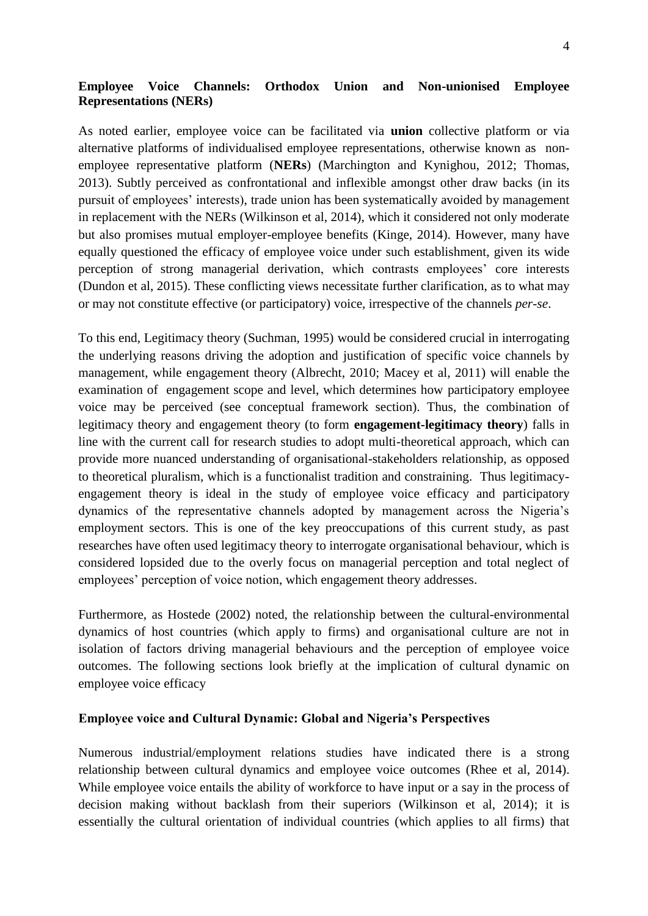# **Employee Voice Channels: Orthodox Union and Non-unionised Employee Representations (NERs)**

As noted earlier, employee voice can be facilitated via **union** collective platform or via alternative platforms of individualised employee representations, otherwise known as nonemployee representative platform (**NERs**) (Marchington and Kynighou, 2012; Thomas, 2013). Subtly perceived as confrontational and inflexible amongst other draw backs (in its pursuit of employees' interests), trade union has been systematically avoided by management in replacement with the NERs (Wilkinson et al, 2014), which it considered not only moderate but also promises mutual employer-employee benefits (Kinge, 2014). However, many have equally questioned the efficacy of employee voice under such establishment, given its wide perception of strong managerial derivation, which contrasts employees' core interests (Dundon et al, 2015). These conflicting views necessitate further clarification, as to what may or may not constitute effective (or participatory) voice, irrespective of the channels *per-se*.

To this end, Legitimacy theory (Suchman, 1995) would be considered crucial in interrogating the underlying reasons driving the adoption and justification of specific voice channels by management, while engagement theory (Albrecht, 2010; Macey et al, 2011) will enable the examination of engagement scope and level, which determines how participatory employee voice may be perceived (see conceptual framework section). Thus, the combination of legitimacy theory and engagement theory (to form **engagement-legitimacy theory**) falls in line with the current call for research studies to adopt multi-theoretical approach, which can provide more nuanced understanding of organisational-stakeholders relationship, as opposed to theoretical pluralism, which is a functionalist tradition and constraining. Thus legitimacyengagement theory is ideal in the study of employee voice efficacy and participatory dynamics of the representative channels adopted by management across the Nigeria's employment sectors. This is one of the key preoccupations of this current study, as past researches have often used legitimacy theory to interrogate organisational behaviour, which is considered lopsided due to the overly focus on managerial perception and total neglect of employees' perception of voice notion, which engagement theory addresses.

Furthermore, as Hostede (2002) noted, the relationship between the cultural-environmental dynamics of host countries (which apply to firms) and organisational culture are not in isolation of factors driving managerial behaviours and the perception of employee voice outcomes. The following sections look briefly at the implication of cultural dynamic on employee voice efficacy

# **Employee voice and Cultural Dynamic: Global and Nigeria's Perspectives**

Numerous industrial/employment relations studies have indicated there is a strong relationship between cultural dynamics and employee voice outcomes (Rhee et al, 2014). While employee voice entails the ability of workforce to have input or a say in the process of decision making without backlash from their superiors (Wilkinson et al, 2014); it is essentially the cultural orientation of individual countries (which applies to all firms) that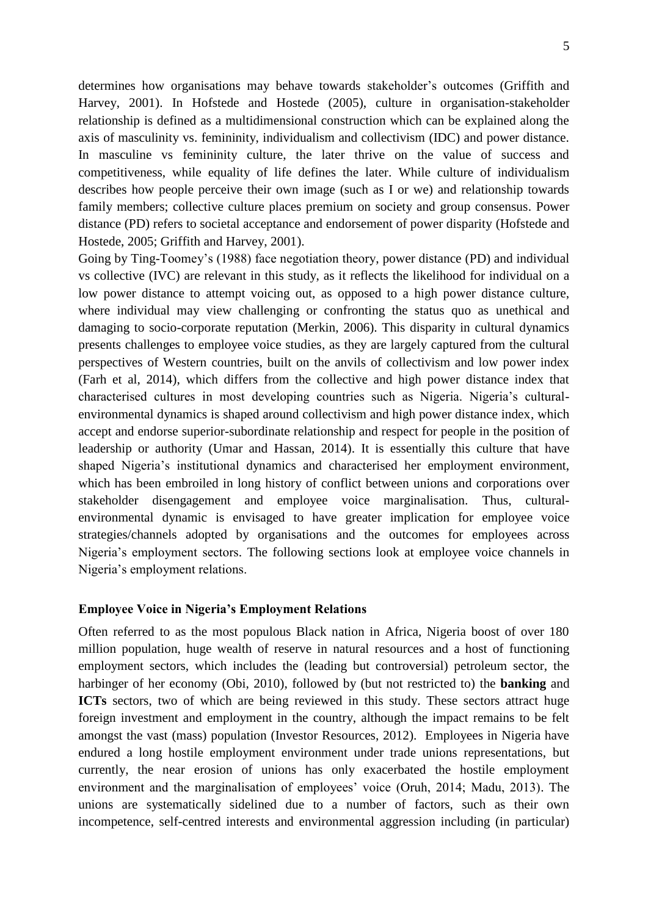determines how organisations may behave towards stakeholder's outcomes (Griffith and Harvey, 2001). In Hofstede and Hostede (2005), culture in organisation-stakeholder relationship is defined as a multidimensional construction which can be explained along the axis of masculinity vs. femininity, individualism and collectivism (IDC) and power distance. In masculine vs femininity culture, the later thrive on the value of success and competitiveness, while equality of life defines the later. While culture of individualism describes how people perceive their own image (such as I or we) and relationship towards family members; collective culture places premium on society and group consensus. Power distance (PD) refers to societal acceptance and endorsement of power disparity (Hofstede and Hostede, 2005; Griffith and Harvey, 2001).

Going by Ting-Toomey's (1988) face negotiation theory, power distance (PD) and individual vs collective (IVC) are relevant in this study, as it reflects the likelihood for individual on a low power distance to attempt voicing out, as opposed to a high power distance culture, where individual may view challenging or confronting the status quo as unethical and damaging to socio-corporate reputation (Merkin, 2006). This disparity in cultural dynamics presents challenges to employee voice studies, as they are largely captured from the cultural perspectives of Western countries, built on the anvils of collectivism and low power index (Farh et al, 2014), which differs from the collective and high power distance index that characterised cultures in most developing countries such as Nigeria. Nigeria's culturalenvironmental dynamics is shaped around collectivism and high power distance index, which accept and endorse superior-subordinate relationship and respect for people in the position of leadership or authority (Umar and Hassan, 2014). It is essentially this culture that have shaped Nigeria's institutional dynamics and characterised her employment environment, which has been embroiled in long history of conflict between unions and corporations over stakeholder disengagement and employee voice marginalisation. Thus, culturalenvironmental dynamic is envisaged to have greater implication for employee voice strategies/channels adopted by organisations and the outcomes for employees across Nigeria's employment sectors. The following sections look at employee voice channels in Nigeria's employment relations.

#### **Employee Voice in Nigeria's Employment Relations**

Often referred to as the most populous Black nation in Africa, Nigeria boost of over 180 million population, huge wealth of reserve in natural resources and a host of functioning employment sectors, which includes the (leading but controversial) petroleum sector, the harbinger of her economy (Obi, 2010), followed by (but not restricted to) the **banking** and **ICTs** sectors, two of which are being reviewed in this study. These sectors attract huge foreign investment and employment in the country, although the impact remains to be felt amongst the vast (mass) population (Investor Resources, 2012). Employees in Nigeria have endured a long hostile employment environment under trade unions representations, but currently, the near erosion of unions has only exacerbated the hostile employment environment and the marginalisation of employees' voice (Oruh, 2014; Madu, 2013). The unions are systematically sidelined due to a number of factors, such as their own incompetence, self-centred interests and environmental aggression including (in particular)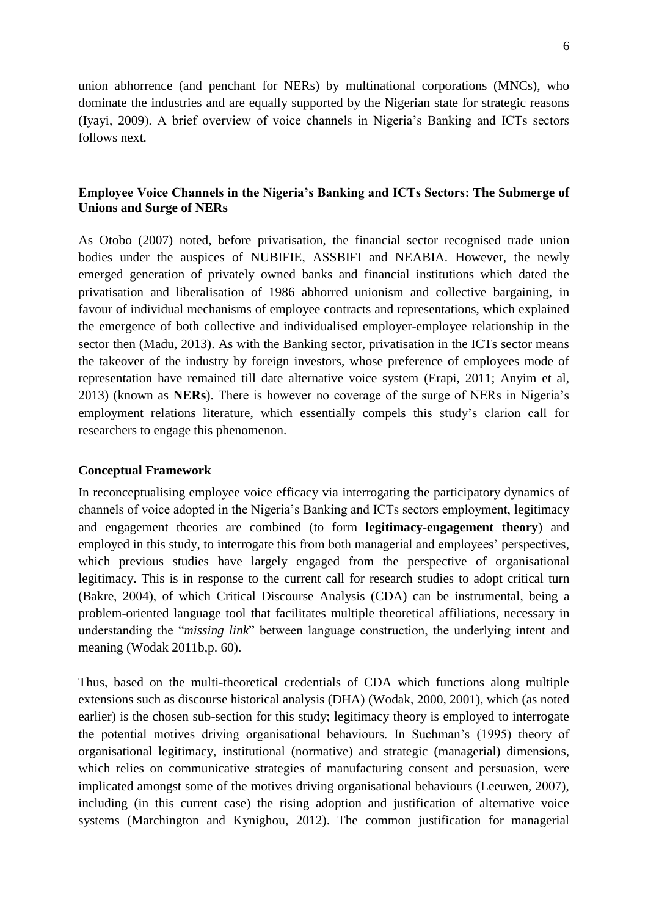union abhorrence (and penchant for NERs) by multinational corporations (MNCs), who dominate the industries and are equally supported by the Nigerian state for strategic reasons (Iyayi, 2009). A brief overview of voice channels in Nigeria's Banking and ICTs sectors follows next.

# **Employee Voice Channels in the Nigeria's Banking and ICTs Sectors: The Submerge of Unions and Surge of NERs**

As Otobo (2007) noted, before privatisation, the financial sector recognised trade union bodies under the auspices of NUBIFIE, ASSBIFI and NEABIA. However, the newly emerged generation of privately owned banks and financial institutions which dated the privatisation and liberalisation of 1986 abhorred unionism and collective bargaining, in favour of individual mechanisms of employee contracts and representations, which explained the emergence of both collective and individualised employer-employee relationship in the sector then (Madu, 2013). As with the Banking sector, privatisation in the ICTs sector means the takeover of the industry by foreign investors, whose preference of employees mode of representation have remained till date alternative voice system (Erapi, 2011; Anyim et al, 2013) (known as **NERs**). There is however no coverage of the surge of NERs in Nigeria's employment relations literature, which essentially compels this study's clarion call for researchers to engage this phenomenon.

#### **Conceptual Framework**

In reconceptualising employee voice efficacy via interrogating the participatory dynamics of channels of voice adopted in the Nigeria's Banking and ICTs sectors employment, legitimacy and engagement theories are combined (to form **legitimacy-engagement theory**) and employed in this study, to interrogate this from both managerial and employees' perspectives, which previous studies have largely engaged from the perspective of organisational legitimacy. This is in response to the current call for research studies to adopt critical turn (Bakre, 2004), of which Critical Discourse Analysis (CDA) can be instrumental, being a problem-oriented language tool that facilitates multiple theoretical affiliations, necessary in understanding the "*missing link*" between language construction, the underlying intent and meaning (Wodak 2011b,p. 60).

Thus, based on the multi-theoretical credentials of CDA which functions along multiple extensions such as discourse historical analysis (DHA) (Wodak, 2000, 2001), which (as noted earlier) is the chosen sub-section for this study; legitimacy theory is employed to interrogate the potential motives driving organisational behaviours. In Suchman's (1995) theory of organisational legitimacy, institutional (normative) and strategic (managerial) dimensions, which relies on communicative strategies of manufacturing consent and persuasion, were implicated amongst some of the motives driving organisational behaviours (Leeuwen, 2007), including (in this current case) the rising adoption and justification of alternative voice systems (Marchington and Kynighou, 2012). The common justification for managerial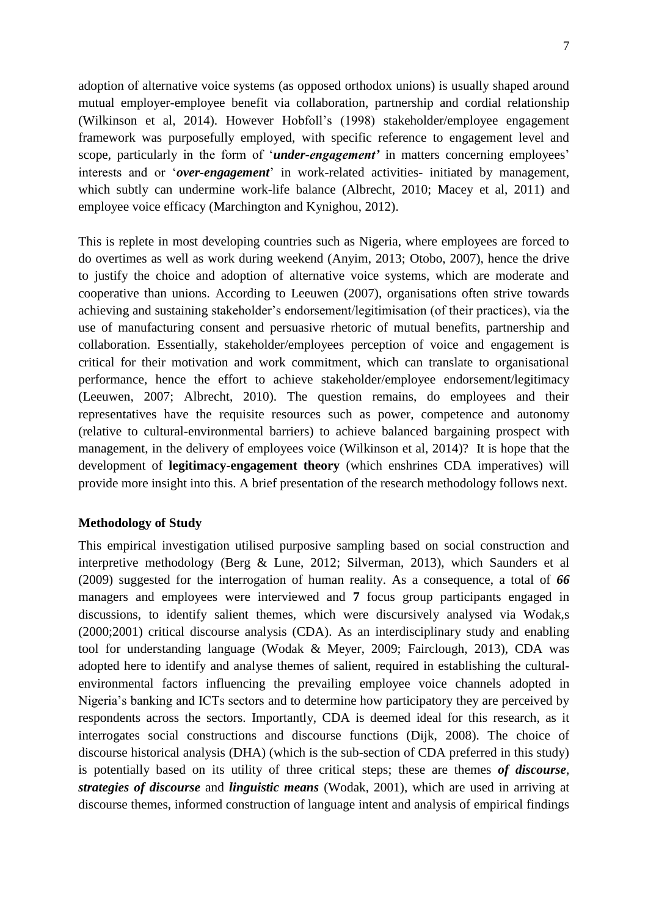7

adoption of alternative voice systems (as opposed orthodox unions) is usually shaped around mutual employer-employee benefit via collaboration, partnership and cordial relationship (Wilkinson et al, 2014). However Hobfoll's (1998) stakeholder/employee engagement framework was purposefully employed, with specific reference to engagement level and scope, particularly in the form of '*under-engagement'* in matters concerning employees' interests and or '*over-engagement*' in work-related activities- initiated by management, which subtly can undermine work-life balance (Albrecht, 2010; Macey et al, 2011) and employee voice efficacy (Marchington and Kynighou, 2012).

This is replete in most developing countries such as Nigeria, where employees are forced to do overtimes as well as work during weekend (Anyim, 2013; Otobo, 2007), hence the drive to justify the choice and adoption of alternative voice systems, which are moderate and cooperative than unions. According to Leeuwen (2007), organisations often strive towards achieving and sustaining stakeholder's endorsement/legitimisation (of their practices), via the use of manufacturing consent and persuasive rhetoric of mutual benefits, partnership and collaboration. Essentially, stakeholder/employees perception of voice and engagement is critical for their motivation and work commitment, which can translate to organisational performance, hence the effort to achieve stakeholder/employee endorsement/legitimacy (Leeuwen, 2007; Albrecht, 2010). The question remains, do employees and their representatives have the requisite resources such as power, competence and autonomy (relative to cultural-environmental barriers) to achieve balanced bargaining prospect with management, in the delivery of employees voice (Wilkinson et al, 2014)? It is hope that the development of **legitimacy-engagement theory** (which enshrines CDA imperatives) will provide more insight into this. A brief presentation of the research methodology follows next.

# **Methodology of Study**

This empirical investigation utilised purposive sampling based on social construction and interpretive methodology (Berg & Lune, 2012; Silverman, 2013), which Saunders et al (2009) suggested for the interrogation of human reality. As a consequence, a total of *66*  managers and employees were interviewed and **7** focus group participants engaged in discussions, to identify salient themes, which were discursively analysed via Wodak,s (2000;2001) critical discourse analysis (CDA). As an interdisciplinary study and enabling tool for understanding language (Wodak & Meyer, 2009; Fairclough, 2013), CDA was adopted here to identify and analyse themes of salient, required in establishing the culturalenvironmental factors influencing the prevailing employee voice channels adopted in Nigeria's banking and ICTs sectors and to determine how participatory they are perceived by respondents across the sectors. Importantly, CDA is deemed ideal for this research, as it interrogates social constructions and discourse functions (Dijk, 2008). The choice of discourse historical analysis (DHA) (which is the sub-section of CDA preferred in this study) is potentially based on its utility of three critical steps; these are themes *of discourse*, *strategies of discourse* and *linguistic means* (Wodak, 2001), which are used in arriving at discourse themes, informed construction of language intent and analysis of empirical findings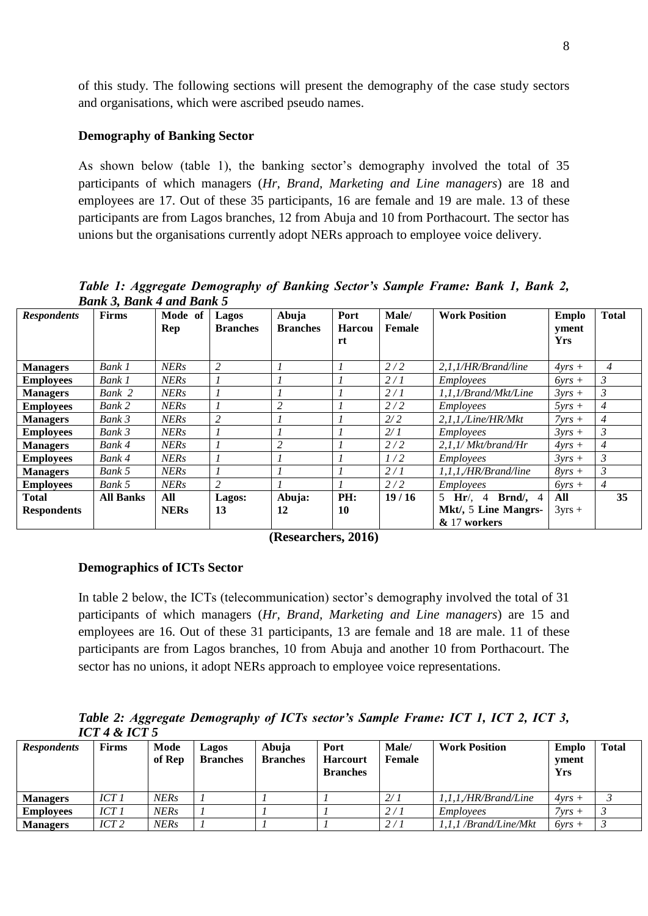of this study. The following sections will present the demography of the case study sectors and organisations, which were ascribed pseudo names.

#### **Demography of Banking Sector**

As shown below (table 1), the banking sector's demography involved the total of 35 participants of which managers (*Hr, Brand, Marketing and Line managers*) are 18 and employees are 17. Out of these 35 participants, 16 are female and 19 are male. 13 of these participants are from Lagos branches, 12 from Abuja and 10 from Porthacourt. The sector has unions but the organisations currently adopt NERs approach to employee voice delivery.

*Table 1: Aggregate Demography of Banking Sector's Sample Frame: Bank 1, Bank 2, Bank 3, Bank 4 and Bank 5* 

| <b>Respondents</b> | <b>Firms</b>     | Mode of<br>Rep | <b>Lagos</b><br><b>Branches</b> | Abuja<br><b>Branches</b> | Port<br><b>Harcou</b><br>rt | Male/<br>Female | <b>Work Position</b>                              | <b>Emplo</b><br>yment<br>Yrs | <b>Total</b>   |
|--------------------|------------------|----------------|---------------------------------|--------------------------|-----------------------------|-----------------|---------------------------------------------------|------------------------------|----------------|
| <b>Managers</b>    | Bank 1           | <b>NERs</b>    | $\overline{2}$                  |                          |                             | 2/2             | 2.1.1/HR/Brand/line                               | $4vrs +$                     | $\overline{4}$ |
| <b>Employees</b>   | Bank 1           | <b>NERs</b>    |                                 |                          |                             | 2/1             | <i>Employees</i>                                  | $6\gamma rs +$               | $\mathfrak{Z}$ |
| <b>Managers</b>    | Bank 2           | <b>NERs</b>    | $\boldsymbol{l}$                |                          |                             | 2/1             | $1,1,1/B$ rand/Mkt/Line                           | $3vrs +$                     | 3              |
| <b>Employees</b>   | Bank 2           | <b>NERs</b>    |                                 | 2                        |                             | 2/2             | <i>Employees</i>                                  | $5vrs +$                     | $\overline{4}$ |
| <b>Managers</b>    | Bank 3           | <b>NERs</b>    | $\overline{2}$                  |                          |                             | 2/2             | $2.1.1$ ./Line/HR/Mkt                             | $7yrs +$                     | $\overline{4}$ |
| <b>Employees</b>   | Bank 3           | <b>NERs</b>    | $\mathcal{I}$                   |                          |                             | 2/1             | <i>Employees</i>                                  | $3vrs$ +                     | $\mathfrak{Z}$ |
| <b>Managers</b>    | Bank 4           | <b>NERs</b>    |                                 | $\overline{2}$           |                             | 2/2             | 2.1.1/Mkt/brand/Hr                                | $4\text{vrs} +$              | $\overline{4}$ |
| <b>Employees</b>   | Bank 4           | <b>NERs</b>    | $\boldsymbol{l}$                |                          |                             | 1/2             | <i>Employees</i>                                  | $3vrs +$                     | 3              |
| <b>Managers</b>    | Bank 5           | <b>NERs</b>    |                                 |                          |                             | 2/1             | $1, 1, 1, \text{/HR/Brand/line}$                  | $8\text{vrs} +$              | $\mathfrak{Z}$ |
| <b>Employees</b>   | Bank 5           | <b>NERs</b>    | 2                               |                          |                             | 2/2             | <i>Employees</i>                                  | $6\text{vrs} +$              | $\overline{4}$ |
| Total              | <b>All Banks</b> | All            | Lagos:                          | Abuja:                   | PH:                         | 19/16           | <b>Brnd</b> /, $4$<br>.5<br>Hr/<br>$\overline{4}$ | All                          | 35             |
| <b>Respondents</b> |                  | <b>NERs</b>    | 13                              | 12                       | 10                          |                 | Mkt/, 5 Line Mangrs-                              | $3yrs +$                     |                |
|                    |                  |                |                                 |                          |                             |                 | & 17 workers                                      |                              |                |

**(Researchers, 2016)**

#### **Demographics of ICTs Sector**

In table 2 below, the ICTs (telecommunication) sector's demography involved the total of 31 participants of which managers (*Hr, Brand, Marketing and Line managers*) are 15 and employees are 16. Out of these 31 participants, 13 are female and 18 are male. 11 of these participants are from Lagos branches, 10 from Abuja and another 10 from Porthacourt. The sector has no unions, it adopt NERs approach to employee voice representations.

*Table 2: Aggregate Demography of ICTs sector's Sample Frame: ICT 1, ICT 2, ICT 3, ICT 4 & ICT 5*

| <b>Respondents</b> | <b>Firms</b>     | Mode<br>of Rep | Lagos<br><b>Branches</b> | Abuja<br><b>Branches</b> | Port<br><b>Harcourt</b><br><b>Branches</b> | Male/<br>Female | <b>Work Position</b>  | <b>Emplo</b><br>vment<br><b>Yrs</b> | <b>Total</b> |
|--------------------|------------------|----------------|--------------------------|--------------------------|--------------------------------------------|-----------------|-----------------------|-------------------------------------|--------------|
| <b>Managers</b>    | $ICT$ $1$        | <b>NERs</b>    |                          |                          |                                            | 2/1             | 1.1.1./HR/Brand/Line  | $4vrs +$                            |              |
| <b>Employees</b>   | ICT1             | NERs           |                          |                          |                                            | 2/1             | <i>Employees</i>      | 7vrs +                              |              |
| <b>Managers</b>    | ICT <sub>2</sub> | <b>NERs</b>    |                          |                          |                                            | 2/1             | 1.1.1 /Brand/Line/Mkt | $6vrs +$                            |              |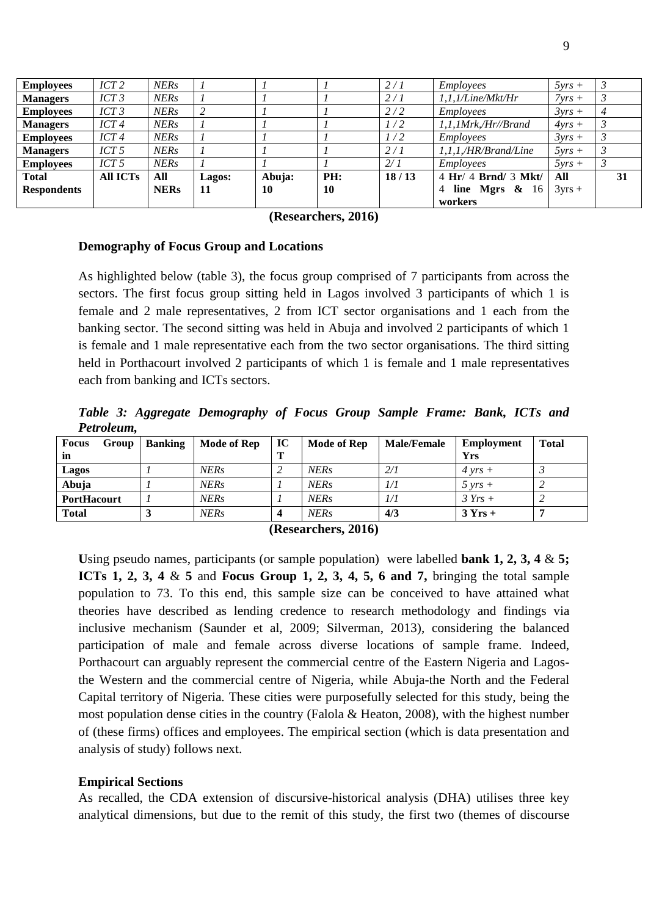| <b>Employees</b>   | ICT 2           | <b>NERs</b> |        |        |     | 2/1   | <i>Employees</i>                    | $5vrs +$        |    |
|--------------------|-----------------|-------------|--------|--------|-----|-------|-------------------------------------|-----------------|----|
| <b>Managers</b>    | ICT3            | <b>NERs</b> |        |        |     | 2/1   | $1,1,1/L$ ine/Mkt/Hr                | $7\gamma rs +$  |    |
| <b>Employees</b>   | ICT3            | <b>NERs</b> | 2      |        |     | 2/2   | <i>Employees</i>                    | $3vrs +$        |    |
| <b>Managers</b>    | ICT4            | <b>NERs</b> |        |        |     | 1/2   | $1,1,1$ Mrk,/Hr//Brand              | $4\gamma rs +$  |    |
| <b>Employees</b>   | ICT4            | <b>NERs</b> |        |        |     | 1/2   | <i>Employees</i>                    | $3vrs +$        |    |
| <b>Managers</b>    | ICT 5           | <b>NERs</b> |        |        |     | 2/1   | $1.1.1$ ./HR/Brand/Line             | $5vrs +$        |    |
| <b>Employees</b>   | ICT 5           | <b>NERs</b> |        |        |     | 2/1   | <i>Employees</i>                    | $5\text{vrs} +$ |    |
| <b>Total</b>       | <b>All ICTs</b> | All         | Lagos: | Abuja: | PH: | 18/13 | 4 Hr/ 4 Brnd/ 3 Mkt/                | All             | 31 |
| <b>Respondents</b> |                 | <b>NERs</b> | 11     | 10     | 10  |       | line Mgrs $\&$ 16<br>$\overline{4}$ | $3yrs +$        |    |
|                    |                 |             |        |        |     |       | workers                             |                 |    |

| (Researchers, 2016) |  |
|---------------------|--|
|                     |  |

## **Demography of Focus Group and Locations**

As highlighted below (table 3), the focus group comprised of 7 participants from across the sectors. The first focus group sitting held in Lagos involved 3 participants of which 1 is female and 2 male representatives, 2 from ICT sector organisations and 1 each from the banking sector. The second sitting was held in Abuja and involved 2 participants of which 1 is female and 1 male representative each from the two sector organisations. The third sitting held in Porthacourt involved 2 participants of which 1 is female and 1 male representatives each from banking and ICTs sectors.

*Table 3: Aggregate Demography of Focus Group Sample Frame: Bank, ICTs and Petroleum,* 

| <b>Focus</b><br>Group<br>in | <b>Banking</b> | Mode of Rep | IC | <b>Mode of Rep</b> | <b>Male/Female</b> | <b>Employment</b><br><b>Yrs</b> | <b>Total</b> |
|-----------------------------|----------------|-------------|----|--------------------|--------------------|---------------------------------|--------------|
| Lagos                       |                | <b>NERs</b> |    | <b>NERs</b>        | 2/1                | $4 \text{ vrs} +$               |              |
| Abuja                       |                | NERs        |    | <b>NERs</b>        | 1/l                | $5 \, vrs +$                    |              |
| <b>PortHacourt</b>          |                | <b>NERs</b> |    | <b>NERs</b>        | 1/1                | $3 Yrs +$                       |              |
| Total                       |                | <b>NERs</b> |    | <b>NERs</b>        | 4/3                | $3$ Yrs +                       |              |

**(Researchers, 2016)**

**U**sing pseudo names, participants (or sample population) were labelled **bank 1, 2, 3, 4** & **5; ICTs 1, 2, 3, 4** & **5** and **Focus Group 1, 2, 3, 4, 5, 6 and 7,** bringing the total sample population to 73. To this end, this sample size can be conceived to have attained what theories have described as lending credence to research methodology and findings via inclusive mechanism (Saunder et al, 2009; Silverman, 2013), considering the balanced participation of male and female across diverse locations of sample frame. Indeed, Porthacourt can arguably represent the commercial centre of the Eastern Nigeria and Lagosthe Western and the commercial centre of Nigeria, while Abuja-the North and the Federal Capital territory of Nigeria. These cities were purposefully selected for this study, being the most population dense cities in the country (Falola & Heaton, 2008), with the highest number of (these firms) offices and employees. The empirical section (which is data presentation and analysis of study) follows next.

#### **Empirical Sections**

As recalled, the CDA extension of discursive-historical analysis (DHA) utilises three key analytical dimensions, but due to the remit of this study, the first two (themes of discourse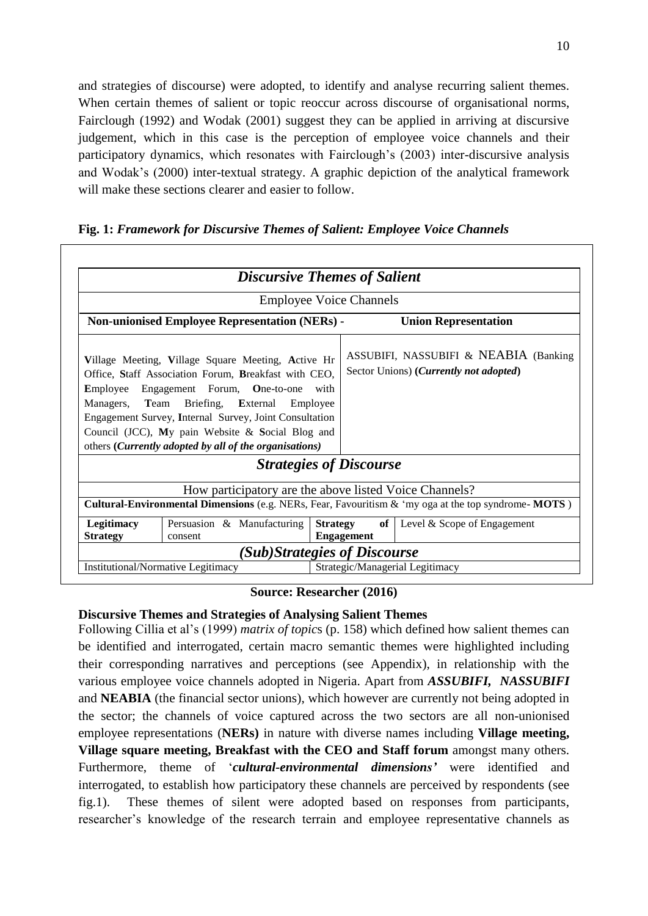and strategies of discourse) were adopted, to identify and analyse recurring salient themes. When certain themes of salient or topic reoccur across discourse of organisational norms, Fairclough (1992) and Wodak (2001) suggest they can be applied in arriving at discursive judgement, which in this case is the perception of employee voice channels and their participatory dynamics, which resonates with Fairclough's (2003) inter-discursive analysis and Wodak's (2000) inter-textual strategy. A graphic depiction of the analytical framework will make these sections clearer and easier to follow.

|                               | <b>Discursive Themes of Salient</b>                                                                                                                                                                                                                                                                                                                              |                                      |                                |                                                                                                     |
|-------------------------------|------------------------------------------------------------------------------------------------------------------------------------------------------------------------------------------------------------------------------------------------------------------------------------------------------------------------------------------------------------------|--------------------------------------|--------------------------------|-----------------------------------------------------------------------------------------------------|
|                               |                                                                                                                                                                                                                                                                                                                                                                  |                                      | <b>Employee Voice Channels</b> |                                                                                                     |
|                               | <b>Non-unionised Employee Representation (NERs) -</b>                                                                                                                                                                                                                                                                                                            |                                      |                                | <b>Union Representation</b>                                                                         |
| Employee                      | Village Meeting, Village Square Meeting, Active Hr<br>Office, Staff Association Forum, Breakfast with CEO,<br>Engagement Forum, One-to-one<br>Managers, Team Briefing, External Employee<br>Engagement Survey, Internal Survey, Joint Consultation<br>Council (JCC), My pain Website & Social Blog and<br>others (Currently adopted by all of the organisations) | with                                 |                                | ASSUBIFI, NASSUBIFI & NEABIA (Banking<br>Sector Unions) ( <i>Currently not adopted</i> )            |
|                               |                                                                                                                                                                                                                                                                                                                                                                  |                                      | <b>Strategies of Discourse</b> |                                                                                                     |
|                               | How participatory are the above listed Voice Channels?                                                                                                                                                                                                                                                                                                           |                                      |                                |                                                                                                     |
|                               |                                                                                                                                                                                                                                                                                                                                                                  |                                      |                                | Cultural-Environmental Dimensions (e.g. NERs, Fear, Favouritism & 'my oga at the top syndrome-MOTS) |
| Legitimacy<br><b>Strategy</b> | Persuasion & Manufacturing<br>consent                                                                                                                                                                                                                                                                                                                            | <b>Strategy</b><br><b>Engagement</b> |                                | of Level & Scope of Engagement                                                                      |
|                               | (Sub)Strategies of Discourse                                                                                                                                                                                                                                                                                                                                     |                                      |                                |                                                                                                     |
|                               | Institutional/Normative Legitimacy                                                                                                                                                                                                                                                                                                                               |                                      |                                | Strategic/Managerial Legitimacy                                                                     |

**Fig. 1:** *Framework for Discursive Themes of Salient: Employee Voice Channels*

#### **Source: Researcher (2016)**

# **Discursive Themes and Strategies of Analysing Salient Themes**

Following Cillia et al's (1999) *matrix of topic*s (p. 158) which defined how salient themes can be identified and interrogated, certain macro semantic themes were highlighted including their corresponding narratives and perceptions (see Appendix), in relationship with the various employee voice channels adopted in Nigeria. Apart from *ASSUBIFI, NASSUBIFI* and **NEABIA** (the financial sector unions), which however are currently not being adopted in the sector; the channels of voice captured across the two sectors are all non-unionised employee representations (**NERs)** in nature with diverse names including **Village meeting, Village square meeting, Breakfast with the CEO and Staff forum** amongst many others. Furthermore, theme of '*cultural-environmental dimensions'* were identified and interrogated, to establish how participatory these channels are perceived by respondents (see fig.1). These themes of silent were adopted based on responses from participants, researcher's knowledge of the research terrain and employee representative channels as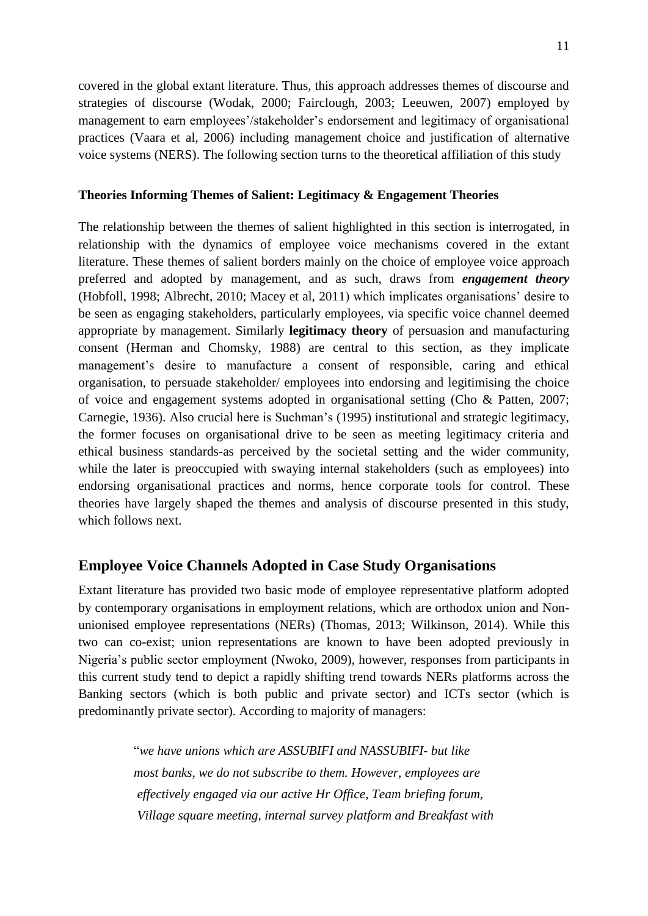covered in the global extant literature. Thus, this approach addresses themes of discourse and strategies of discourse (Wodak, 2000; Fairclough, 2003; Leeuwen, 2007) employed by management to earn employees'/stakeholder's endorsement and legitimacy of organisational practices (Vaara et al, 2006) including management choice and justification of alternative voice systems (NERS). The following section turns to the theoretical affiliation of this study

#### **Theories Informing Themes of Salient: Legitimacy & Engagement Theories**

The relationship between the themes of salient highlighted in this section is interrogated, in relationship with the dynamics of employee voice mechanisms covered in the extant literature. These themes of salient borders mainly on the choice of employee voice approach preferred and adopted by management, and as such, draws from *engagement theory* (Hobfoll, 1998; Albrecht, 2010; Macey et al, 2011) which implicates organisations' desire to be seen as engaging stakeholders, particularly employees, via specific voice channel deemed appropriate by management. Similarly **legitimacy theory** of persuasion and manufacturing consent (Herman and Chomsky, 1988) are central to this section, as they implicate management's desire to manufacture a consent of responsible, caring and ethical organisation, to persuade stakeholder/ employees into endorsing and legitimising the choice of voice and engagement systems adopted in organisational setting (Cho & Patten, 2007; Carnegie, 1936). Also crucial here is Suchman's (1995) institutional and strategic legitimacy, the former focuses on organisational drive to be seen as meeting legitimacy criteria and ethical business standards-as perceived by the societal setting and the wider community, while the later is preoccupied with swaying internal stakeholders (such as employees) into endorsing organisational practices and norms, hence corporate tools for control. These theories have largely shaped the themes and analysis of discourse presented in this study, which follows next.

# **Employee Voice Channels Adopted in Case Study Organisations**

Extant literature has provided two basic mode of employee representative platform adopted by contemporary organisations in employment relations, which are orthodox union and Nonunionised employee representations (NERs) (Thomas, 2013; Wilkinson, 2014). While this two can co-exist; union representations are known to have been adopted previously in Nigeria's public sector employment (Nwoko, 2009), however, responses from participants in this current study tend to depict a rapidly shifting trend towards NERs platforms across the Banking sectors (which is both public and private sector) and ICTs sector (which is predominantly private sector). According to majority of managers:

> "*we have unions which are ASSUBIFI and NASSUBIFI- but like most banks, we do not subscribe to them. However, employees are effectively engaged via our active Hr Office, Team briefing forum, Village square meeting, internal survey platform and Breakfast with*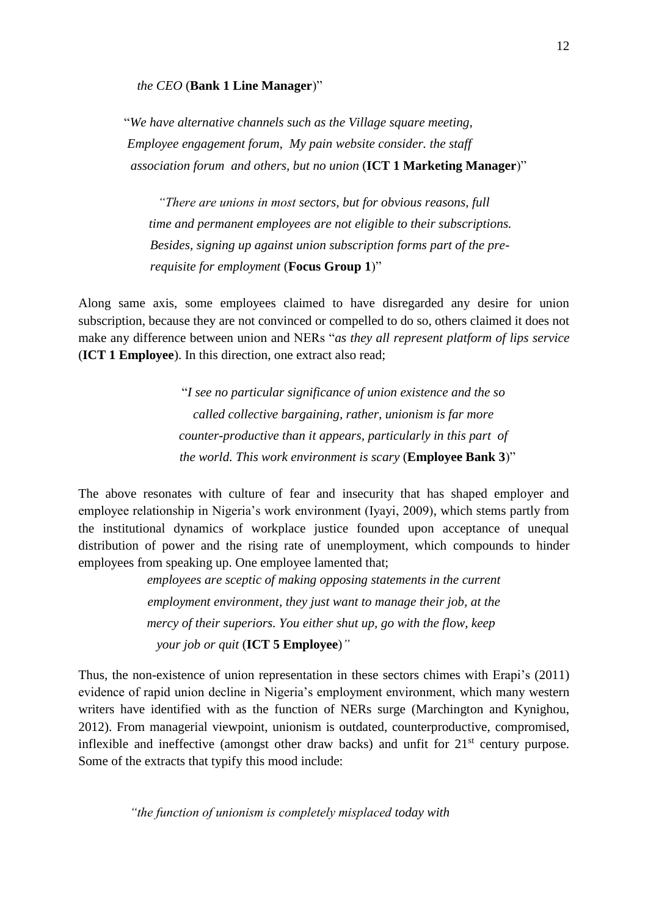#### *the CEO* (**Bank 1 Line Manager**)"

 "*We have alternative channels such as the Village square meeting, Employee engagement forum, My pain website consider. the staff association forum and others, but no union* (**ICT 1 Marketing Manager**)"

*"There are unions in most sectors, but for obvious reasons, full time and permanent employees are not eligible to their subscriptions. Besides, signing up against union subscription forms part of the pre requisite for employment* (**Focus Group 1**)"

Along same axis, some employees claimed to have disregarded any desire for union subscription, because they are not convinced or compelled to do so, others claimed it does not make any difference between union and NERs "*as they all represent platform of lips service* (**ICT 1 Employee**). In this direction, one extract also read;

> "*I see no particular significance of union existence and the so called collective bargaining, rather, unionism is far more counter-productive than it appears, particularly in this part of the world. This work environment is scary* (**Employee Bank 3**)"

The above resonates with culture of fear and insecurity that has shaped employer and employee relationship in Nigeria's work environment (Iyayi, 2009), which stems partly from the institutional dynamics of workplace justice founded upon acceptance of unequal distribution of power and the rising rate of unemployment, which compounds to hinder employees from speaking up. One employee lamented that;

> *employees are sceptic of making opposing statements in the current employment environment, they just want to manage their job, at the mercy of their superiors. You either shut up, go with the flow, keep your job or quit* (**ICT 5 Employee**)*"*

Thus, the non-existence of union representation in these sectors chimes with Erapi's (2011) evidence of rapid union decline in Nigeria's employment environment, which many western writers have identified with as the function of NERs surge (Marchington and Kynighou, 2012). From managerial viewpoint, unionism is outdated, counterproductive, compromised, inflexible and ineffective (amongst other draw backs) and unfit for  $21<sup>st</sup>$  century purpose. Some of the extracts that typify this mood include:

 *"the function of unionism is completely misplaced today with*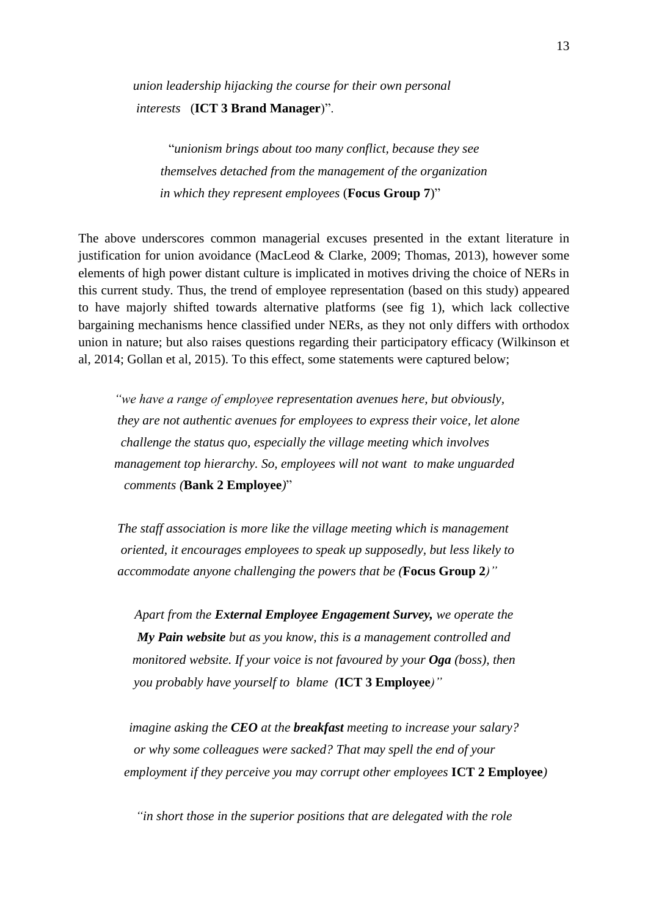*union leadership hijacking the course for their own personal interests* (**ICT 3 Brand Manager**)".

"*unionism brings about too many conflict, because they see themselves detached from the management of the organization in which they represent employees* (**Focus Group 7**)"

The above underscores common managerial excuses presented in the extant literature in justification for union avoidance (MacLeod & Clarke, 2009; Thomas, 2013), however some elements of high power distant culture is implicated in motives driving the choice of NERs in this current study. Thus, the trend of employee representation (based on this study) appeared to have majorly shifted towards alternative platforms (see fig 1), which lack collective bargaining mechanisms hence classified under NERs, as they not only differs with orthodox union in nature; but also raises questions regarding their participatory efficacy (Wilkinson et al, 2014; Gollan et al, 2015). To this effect, some statements were captured below;

 *"we have a range of employee representation avenues here, but obviously, they are not authentic avenues for employees to express their voice, let alone challenge the status quo, especially the village meeting which involves management top hierarchy. So, employees will not want to make unguarded comments (***Bank 2 Employee***)*"

 *The staff association is more like the village meeting which is management oriented, it encourages employees to speak up supposedly, but less likely to accommodate anyone challenging the powers that be (***Focus Group 2***)"*

*Apart from the External Employee Engagement Survey, we operate the My Pain website but as you know, this is a management controlled and monitored website. If your voice is not favoured by your Oga (boss), then you probably have yourself to blame (***ICT 3 Employee***)"*

*imagine asking the CEO at the breakfast meeting to increase your salary? or why some colleagues were sacked? That may spell the end of your employment if they perceive you may corrupt other employees* **ICT 2 Employee***)* 

*"in short those in the superior positions that are delegated with the role*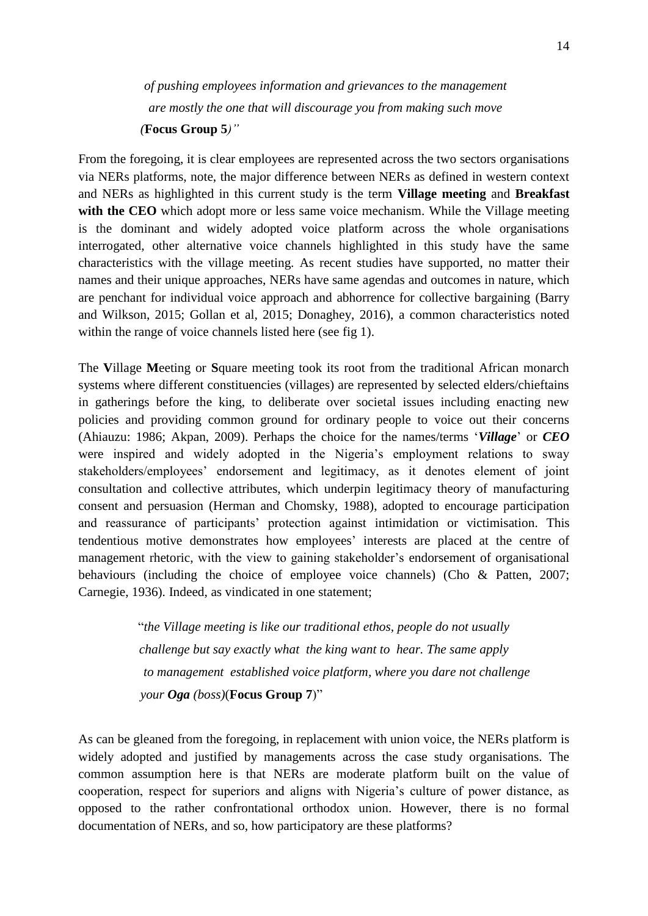*of pushing employees information and grievances to the management are mostly the one that will discourage you from making such move (***Focus Group 5***)"*

From the foregoing, it is clear employees are represented across the two sectors organisations via NERs platforms, note, the major difference between NERs as defined in western context and NERs as highlighted in this current study is the term **Village meeting** and **Breakfast**  with the CEO which adopt more or less same voice mechanism. While the Village meeting is the dominant and widely adopted voice platform across the whole organisations interrogated, other alternative voice channels highlighted in this study have the same characteristics with the village meeting. As recent studies have supported, no matter their names and their unique approaches, NERs have same agendas and outcomes in nature, which are penchant for individual voice approach and abhorrence for collective bargaining (Barry and Wilkson, 2015; Gollan et al, 2015; Donaghey, 2016), a common characteristics noted within the range of voice channels listed here (see fig 1).

The **V**illage **M**eeting or **S**quare meeting took its root from the traditional African monarch systems where different constituencies (villages) are represented by selected elders/chieftains in gatherings before the king, to deliberate over societal issues including enacting new policies and providing common ground for ordinary people to voice out their concerns (Ahiauzu: 1986; Akpan, 2009). Perhaps the choice for the names/terms '*Village*' or *CEO* were inspired and widely adopted in the Nigeria's employment relations to sway stakeholders/employees' endorsement and legitimacy, as it denotes element of joint consultation and collective attributes, which underpin legitimacy theory of manufacturing consent and persuasion (Herman and Chomsky, 1988), adopted to encourage participation and reassurance of participants' protection against intimidation or victimisation. This tendentious motive demonstrates how employees' interests are placed at the centre of management rhetoric, with the view to gaining stakeholder's endorsement of organisational behaviours (including the choice of employee voice channels) (Cho & Patten, 2007; Carnegie, 1936). Indeed, as vindicated in one statement;

> "*the Village meeting is like our traditional ethos, people do not usually challenge but say exactly what the king want to hear. The same apply to management established voice platform, where you dare not challenge your Oga (boss)*(**Focus Group 7**)"

As can be gleaned from the foregoing, in replacement with union voice, the NERs platform is widely adopted and justified by managements across the case study organisations. The common assumption here is that NERs are moderate platform built on the value of cooperation, respect for superiors and aligns with Nigeria's culture of power distance, as opposed to the rather confrontational orthodox union. However, there is no formal documentation of NERs, and so, how participatory are these platforms?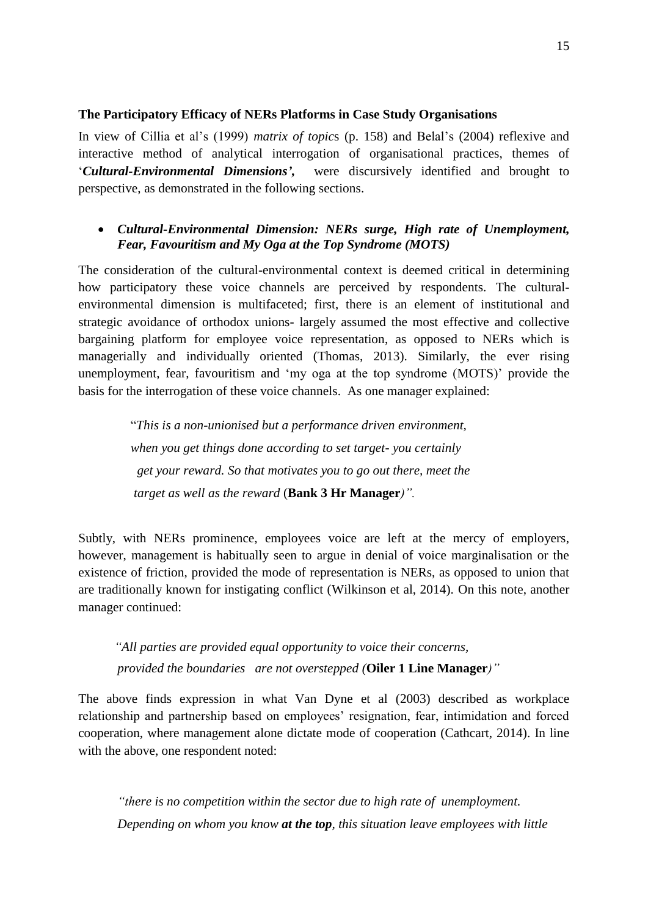## **The Participatory Efficacy of NERs Platforms in Case Study Organisations**

In view of Cillia et al's (1999) *matrix of topic*s (p. 158) and Belal's (2004) reflexive and interactive method of analytical interrogation of organisational practices, themes of '*Cultural-Environmental Dimensions',* were discursively identified and brought to perspective, as demonstrated in the following sections.

# *Cultural-Environmental Dimension: NERs surge, High rate of Unemployment, Fear, Favouritism and My Oga at the Top Syndrome (MOTS)*

The consideration of the cultural-environmental context is deemed critical in determining how participatory these voice channels are perceived by respondents. The culturalenvironmental dimension is multifaceted; first, there is an element of institutional and strategic avoidance of orthodox unions- largely assumed the most effective and collective bargaining platform for employee voice representation, as opposed to NERs which is managerially and individually oriented (Thomas, 2013). Similarly, the ever rising unemployment, fear, favouritism and 'my oga at the top syndrome (MOTS)' provide the basis for the interrogation of these voice channels. As one manager explained:

> "*This is a non-unionised but a performance driven environment, when you get things done according to set target- you certainly get your reward. So that motivates you to go out there, meet the target as well as the reward* (**Bank 3 Hr Manager***)".*

Subtly, with NERs prominence, employees voice are left at the mercy of employers, however, management is habitually seen to argue in denial of voice marginalisation or the existence of friction, provided the mode of representation is NERs, as opposed to union that are traditionally known for instigating conflict (Wilkinson et al, 2014). On this note, another manager continued:

 *"All parties are provided equal opportunity to voice their concerns, provided the boundaries are not overstepped (***Oiler 1 Line Manager***)"*

The above finds expression in what Van Dyne et al (2003) described as workplace relationship and partnership based on employees' resignation, fear, intimidation and forced cooperation, where management alone dictate mode of cooperation (Cathcart, 2014). In line with the above, one respondent noted:

*"there is no competition within the sector due to high rate of unemployment. Depending on whom you know at the top, this situation leave employees with little*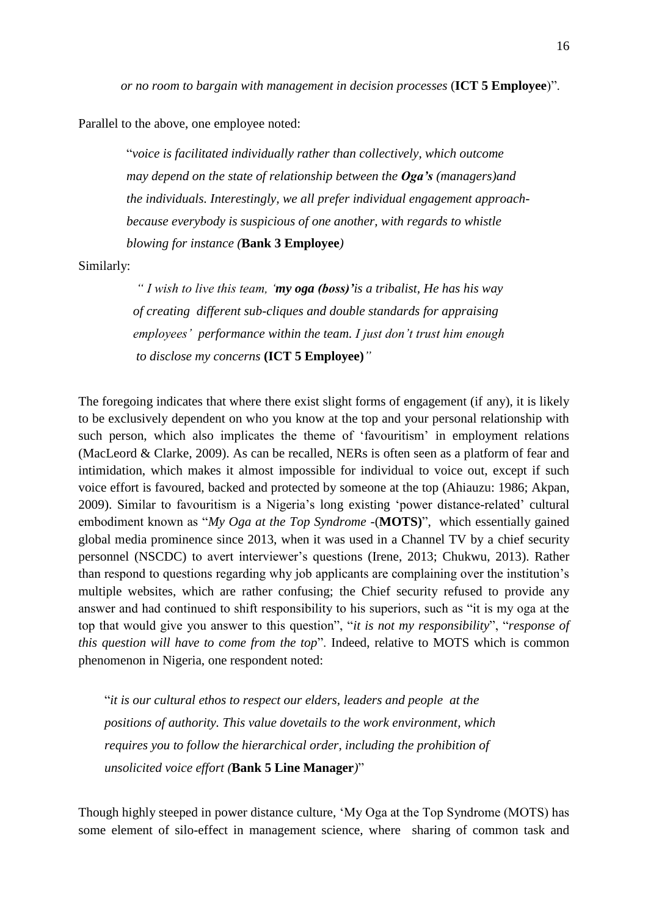*or no room to bargain with management in decision processes* (**ICT 5 Employee**)".

Parallel to the above, one employee noted:

"*voice is facilitated individually rather than collectively, which outcome may depend on the state of relationship between the Oga's (managers)and the individuals. Interestingly, we all prefer individual engagement approachbecause everybody is suspicious of one another, with regards to whistle blowing for instance (***Bank 3 Employee***)*

Similarly:

*" I wish to live this team, 'my oga (boss)'is a tribalist, He has his way of creating different sub-cliques and double standards for appraising employees' performance within the team. I just don't trust him enough to disclose my concerns* **(ICT 5 Employee)***"*

The foregoing indicates that where there exist slight forms of engagement (if any), it is likely to be exclusively dependent on who you know at the top and your personal relationship with such person, which also implicates the theme of 'favouritism' in employment relations (MacLeord & Clarke, 2009). As can be recalled, NERs is often seen as a platform of fear and intimidation, which makes it almost impossible for individual to voice out, except if such voice effort is favoured, backed and protected by someone at the top (Ahiauzu: 1986; Akpan, 2009). Similar to favouritism is a Nigeria's long existing 'power distance-related' cultural embodiment known as "*My Oga at the Top Syndrome* -(**MOTS)**", which essentially gained global media prominence since 2013, when it was used in a Channel TV by a chief security personnel (NSCDC) to avert interviewer's questions (Irene, 2013; Chukwu, 2013). Rather than respond to questions regarding why job applicants are complaining over the institution's multiple websites, which are rather confusing; the Chief security refused to provide any answer and had continued to shift responsibility to his superiors, such as "it is my oga at the top that would give you answer to this question", "*it is not my responsibility*", "*response of this question will have to come from the top*". Indeed, relative to MOTS which is common phenomenon in Nigeria, one respondent noted:

 "*it is our cultural ethos to respect our elders, leaders and people at the positions of authority. This value dovetails to the work environment, which requires you to follow the hierarchical order, including the prohibition of unsolicited voice effort (***Bank 5 Line Manager***)*"

Though highly steeped in power distance culture, 'My Oga at the Top Syndrome (MOTS) has some element of silo-effect in management science, where sharing of common task and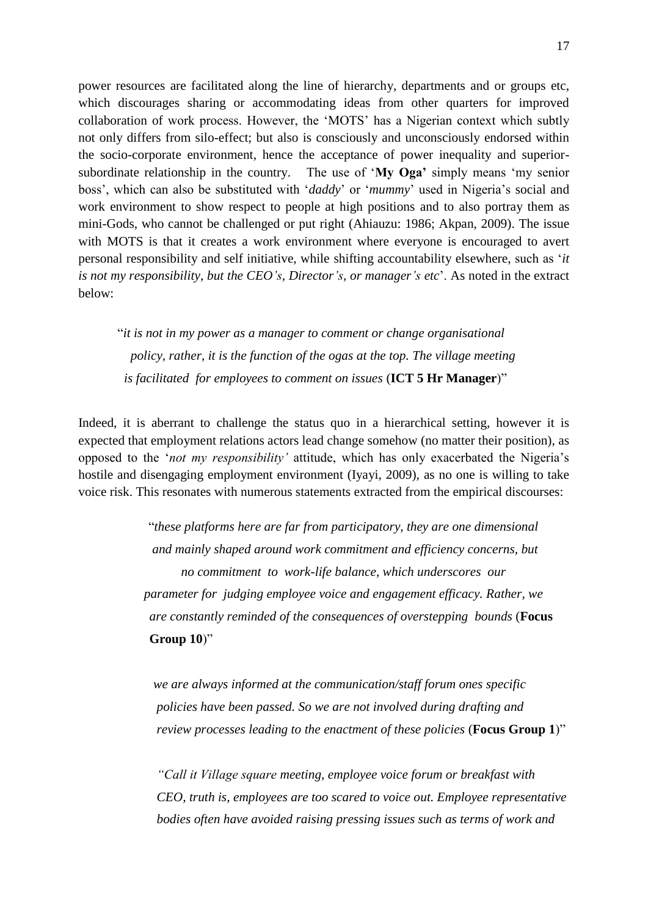power resources are facilitated along the line of hierarchy, departments and or groups etc, which discourages sharing or accommodating ideas from other quarters for improved collaboration of work process. However, the 'MOTS' has a Nigerian context which subtly not only differs from silo-effect; but also is consciously and unconsciously endorsed within the socio-corporate environment, hence the acceptance of power inequality and superiorsubordinate relationship in the country. The use of '**My Oga'** simply means 'my senior boss', which can also be substituted with '*daddy*' or '*mummy*' used in Nigeria's social and work environment to show respect to people at high positions and to also portray them as mini-Gods, who cannot be challenged or put right (Ahiauzu: 1986; Akpan, 2009). The issue with MOTS is that it creates a work environment where everyone is encouraged to avert personal responsibility and self initiative, while shifting accountability elsewhere, such as '*it is not my responsibility, but the CEO's, Director's, or manager's etc*'. As noted in the extract below:

"*it is not in my power as a manager to comment or change organisational policy, rather, it is the function of the ogas at the top. The village meeting is facilitated for employees to comment on issues* (**ICT 5 Hr Manager**)"

Indeed, it is aberrant to challenge the status quo in a hierarchical setting, however it is expected that employment relations actors lead change somehow (no matter their position), as opposed to the '*not my responsibility'* attitude, which has only exacerbated the Nigeria's hostile and disengaging employment environment (Iyayi, 2009), as no one is willing to take voice risk. This resonates with numerous statements extracted from the empirical discourses:

> "*these platforms here are far from participatory, they are one dimensional and mainly shaped around work commitment and efficiency concerns, but no commitment to work-life balance, which underscores our parameter for judging employee voice and engagement efficacy. Rather, we are constantly reminded of the consequences of overstepping bounds* (**Focus Group 10**)"

 *we are always informed at the communication/staff forum ones specific policies have been passed. So we are not involved during drafting and review processes leading to the enactment of these policies* (**Focus Group 1**)"

*"Call it Village square meeting, employee voice forum or breakfast with CEO, truth is, employees are too scared to voice out. Employee representative bodies often have avoided raising pressing issues such as terms of work and*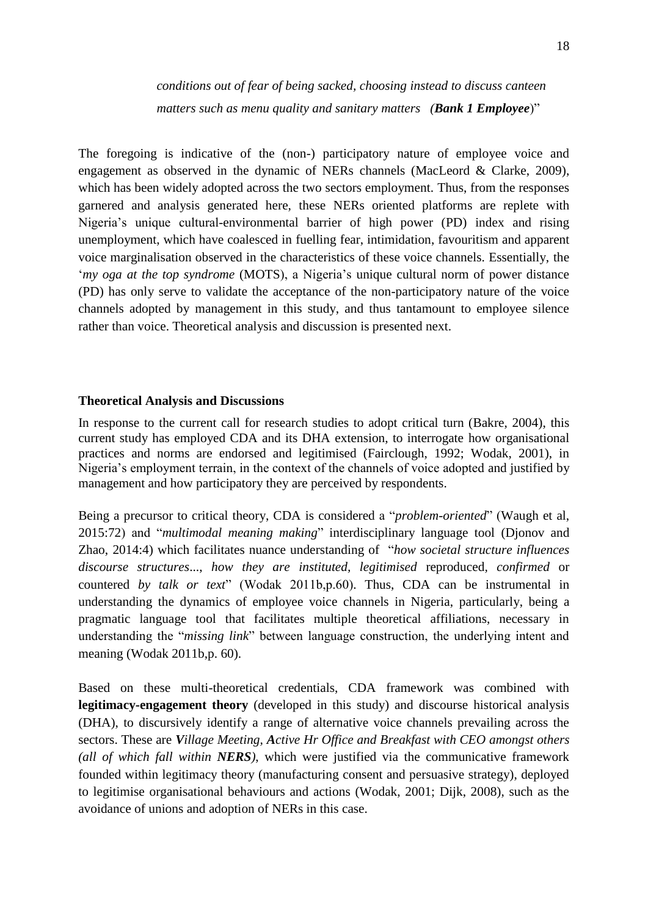*conditions out of fear of being sacked, choosing instead to discuss canteen matters such as menu quality and sanitary matters (Bank 1 Employee*)"

The foregoing is indicative of the (non-) participatory nature of employee voice and engagement as observed in the dynamic of NERs channels (MacLeord & Clarke, 2009), which has been widely adopted across the two sectors employment. Thus, from the responses garnered and analysis generated here, these NERs oriented platforms are replete with Nigeria's unique cultural-environmental barrier of high power (PD) index and rising unemployment, which have coalesced in fuelling fear, intimidation, favouritism and apparent voice marginalisation observed in the characteristics of these voice channels. Essentially, the '*my oga at the top syndrome* (MOTS), a Nigeria's unique cultural norm of power distance (PD) has only serve to validate the acceptance of the non-participatory nature of the voice channels adopted by management in this study, and thus tantamount to employee silence rather than voice. Theoretical analysis and discussion is presented next.

# **Theoretical Analysis and Discussions**

In response to the current call for research studies to adopt critical turn (Bakre, 2004), this current study has employed CDA and its DHA extension, to interrogate how organisational practices and norms are endorsed and legitimised (Fairclough, 1992; Wodak, 2001), in Nigeria's employment terrain, in the context of the channels of voice adopted and justified by management and how participatory they are perceived by respondents.

Being a precursor to critical theory, CDA is considered a "*problem-oriented*" (Waugh et al, 2015:72) and "*multimodal meaning making*" interdisciplinary language tool (Djonov and Zhao, 2014:4) which facilitates nuance understanding of "*how societal structure influences discourse structures*..., *how they are instituted, legitimised* reproduced*, confirmed* or countered *by talk or text*" (Wodak 2011b,p.60). Thus, CDA can be instrumental in understanding the dynamics of employee voice channels in Nigeria, particularly, being a pragmatic language tool that facilitates multiple theoretical affiliations, necessary in understanding the "*missing link*" between language construction, the underlying intent and meaning (Wodak 2011b,p. 60).

Based on these multi-theoretical credentials, CDA framework was combined with **legitimacy-engagement theory** (developed in this study) and discourse historical analysis (DHA), to discursively identify a range of alternative voice channels prevailing across the sectors. These are *Village Meeting, Active Hr Office and Breakfast with CEO amongst others (all of which fall within NERS)*, which were justified via the communicative framework founded within legitimacy theory (manufacturing consent and persuasive strategy), deployed to legitimise organisational behaviours and actions (Wodak, 2001; Dijk, 2008), such as the avoidance of unions and adoption of NERs in this case.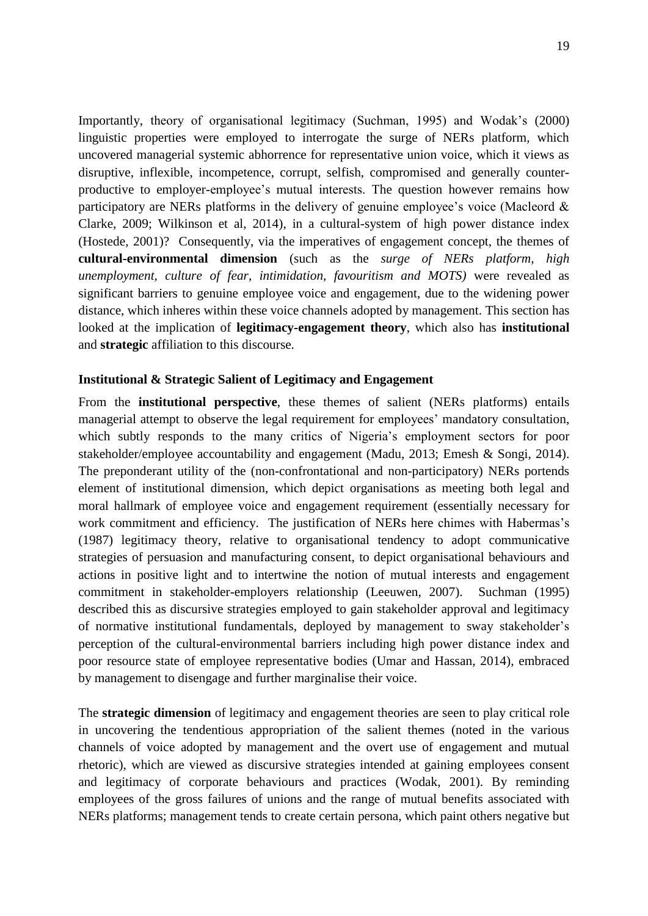Importantly, theory of organisational legitimacy (Suchman, 1995) and Wodak's (2000) linguistic properties were employed to interrogate the surge of NERs platform, which uncovered managerial systemic abhorrence for representative union voice, which it views as disruptive, inflexible, incompetence, corrupt, selfish, compromised and generally counterproductive to employer-employee's mutual interests. The question however remains how participatory are NERs platforms in the delivery of genuine employee's voice (Macleord & Clarke, 2009; Wilkinson et al, 2014), in a cultural-system of high power distance index (Hostede, 2001)? Consequently, via the imperatives of engagement concept, the themes of **cultural-environmental dimension** (such as the *surge of NERs platform, high unemployment, culture of fear, intimidation, favouritism and MOTS)* were revealed as significant barriers to genuine employee voice and engagement, due to the widening power distance, which inheres within these voice channels adopted by management. This section has looked at the implication of **legitimacy-engagement theory**, which also has **institutional** and **strategic** affiliation to this discourse.

#### **Institutional & Strategic Salient of Legitimacy and Engagement**

From the **institutional perspective**, these themes of salient (NERs platforms) entails managerial attempt to observe the legal requirement for employees' mandatory consultation, which subtly responds to the many critics of Nigeria's employment sectors for poor stakeholder/employee accountability and engagement (Madu, 2013; Emesh & Songi, 2014). The preponderant utility of the (non-confrontational and non-participatory) NERs portends element of institutional dimension, which depict organisations as meeting both legal and moral hallmark of employee voice and engagement requirement (essentially necessary for work commitment and efficiency. The justification of NERs here chimes with Habermas's (1987) legitimacy theory, relative to organisational tendency to adopt communicative strategies of persuasion and manufacturing consent, to depict organisational behaviours and actions in positive light and to intertwine the notion of mutual interests and engagement commitment in stakeholder-employers relationship (Leeuwen, 2007). Suchman (1995) described this as discursive strategies employed to gain stakeholder approval and legitimacy of normative institutional fundamentals, deployed by management to sway stakeholder's perception of the cultural-environmental barriers including high power distance index and poor resource state of employee representative bodies (Umar and Hassan, 2014), embraced by management to disengage and further marginalise their voice.

The **strategic dimension** of legitimacy and engagement theories are seen to play critical role in uncovering the tendentious appropriation of the salient themes (noted in the various channels of voice adopted by management and the overt use of engagement and mutual rhetoric), which are viewed as discursive strategies intended at gaining employees consent and legitimacy of corporate behaviours and practices (Wodak, 2001). By reminding employees of the gross failures of unions and the range of mutual benefits associated with NERs platforms; management tends to create certain persona, which paint others negative but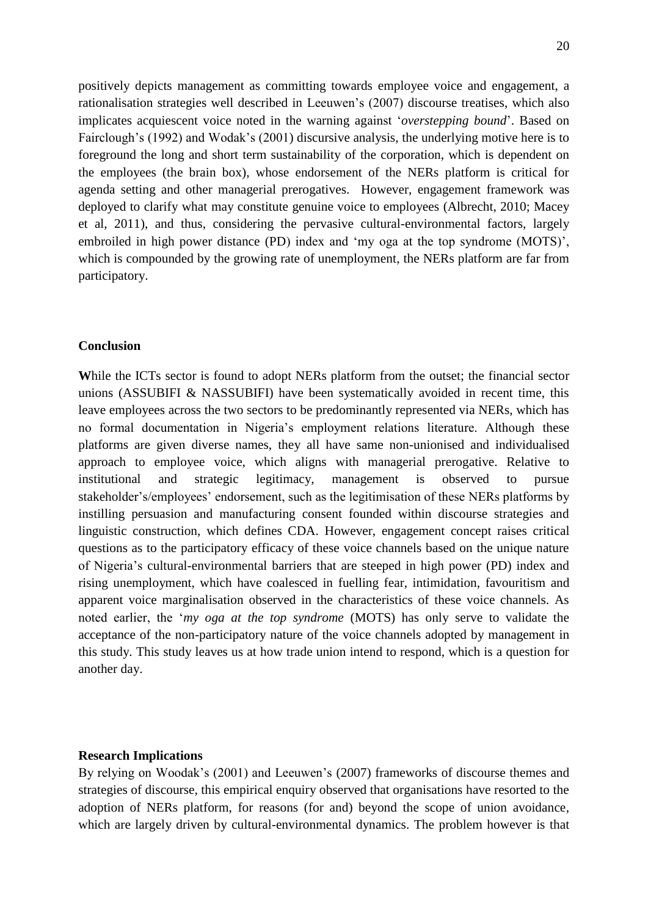positively depicts management as committing towards employee voice and engagement, a rationalisation strategies well described in Leeuwen's (2007) discourse treatises, which also implicates acquiescent voice noted in the warning against '*overstepping bound*'. Based on Fairclough's (1992) and Wodak's (2001) discursive analysis, the underlying motive here is to foreground the long and short term sustainability of the corporation, which is dependent on the employees (the brain box), whose endorsement of the NERs platform is critical for agenda setting and other managerial prerogatives. However, engagement framework was deployed to clarify what may constitute genuine voice to employees (Albrecht, 2010; Macey et al, 2011), and thus, considering the pervasive cultural-environmental factors, largely embroiled in high power distance (PD) index and 'my oga at the top syndrome (MOTS)', which is compounded by the growing rate of unemployment, the NERs platform are far from participatory.

#### **Conclusion**

While the ICTs sector is found to adopt NERs platform from the outset; the financial sector unions (ASSUBIFI & NASSUBIFI) have been systematically avoided in recent time, this leave employees across the two sectors to be predominantly represented via NERs, which has no formal documentation in Nigeria's employment relations literature. Although these platforms are given diverse names, they all have same non-unionised and individualised approach to employee voice, which aligns with managerial prerogative. Relative to institutional and strategic legitimacy, management is observed to pursue stakeholder's/employees' endorsement, such as the legitimisation of these NERs platforms by instilling persuasion and manufacturing consent founded within discourse strategies and linguistic construction, which defines CDA. However, engagement concept raises critical questions as to the participatory efficacy of these voice channels based on the unique nature of Nigeria's cultural-environmental barriers that are steeped in high power (PD) index and rising unemployment, which have coalesced in fuelling fear, intimidation, favouritism and apparent voice marginalisation observed in the characteristics of these voice channels. As noted earlier, the '*my oga at the top syndrome* (MOTS) has only serve to validate the acceptance of the non-participatory nature of the voice channels adopted by management in this study. This study leaves us at how trade union intend to respond, which is a question for another day.

#### **Research Implications**

By relying on Woodak's (2001) and Leeuwen's (2007) frameworks of discourse themes and strategies of discourse, this empirical enquiry observed that organisations have resorted to the adoption of NERs platform, for reasons (for and) beyond the scope of union avoidance, which are largely driven by cultural-environmental dynamics. The problem however is that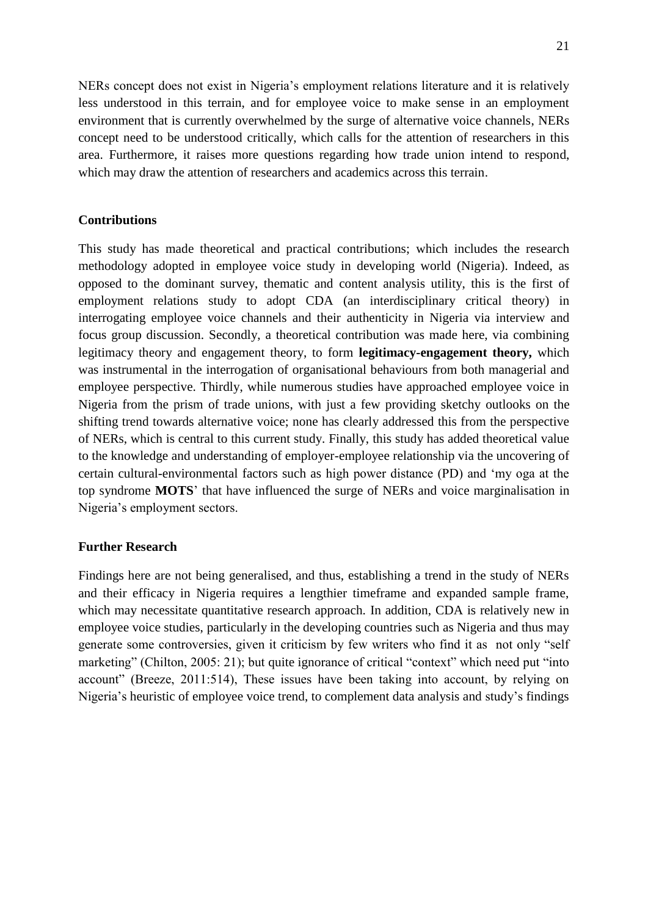NERs concept does not exist in Nigeria's employment relations literature and it is relatively less understood in this terrain, and for employee voice to make sense in an employment environment that is currently overwhelmed by the surge of alternative voice channels, NERs concept need to be understood critically, which calls for the attention of researchers in this area. Furthermore, it raises more questions regarding how trade union intend to respond, which may draw the attention of researchers and academics across this terrain.

#### **Contributions**

This study has made theoretical and practical contributions; which includes the research methodology adopted in employee voice study in developing world (Nigeria). Indeed, as opposed to the dominant survey, thematic and content analysis utility, this is the first of employment relations study to adopt CDA (an interdisciplinary critical theory) in interrogating employee voice channels and their authenticity in Nigeria via interview and focus group discussion. Secondly, a theoretical contribution was made here, via combining legitimacy theory and engagement theory, to form **legitimacy-engagement theory,** which was instrumental in the interrogation of organisational behaviours from both managerial and employee perspective. Thirdly, while numerous studies have approached employee voice in Nigeria from the prism of trade unions, with just a few providing sketchy outlooks on the shifting trend towards alternative voice; none has clearly addressed this from the perspective of NERs, which is central to this current study. Finally, this study has added theoretical value to the knowledge and understanding of employer-employee relationship via the uncovering of certain cultural-environmental factors such as high power distance (PD) and 'my oga at the top syndrome **MOTS**' that have influenced the surge of NERs and voice marginalisation in Nigeria's employment sectors.

#### **Further Research**

Findings here are not being generalised, and thus, establishing a trend in the study of NERs and their efficacy in Nigeria requires a lengthier timeframe and expanded sample frame, which may necessitate quantitative research approach. In addition, CDA is relatively new in employee voice studies, particularly in the developing countries such as Nigeria and thus may generate some controversies, given it criticism by few writers who find it as not only "self marketing" (Chilton, 2005: 21); but quite ignorance of critical "context" which need put "into account" (Breeze, 2011:514), These issues have been taking into account, by relying on Nigeria's heuristic of employee voice trend, to complement data analysis and study's findings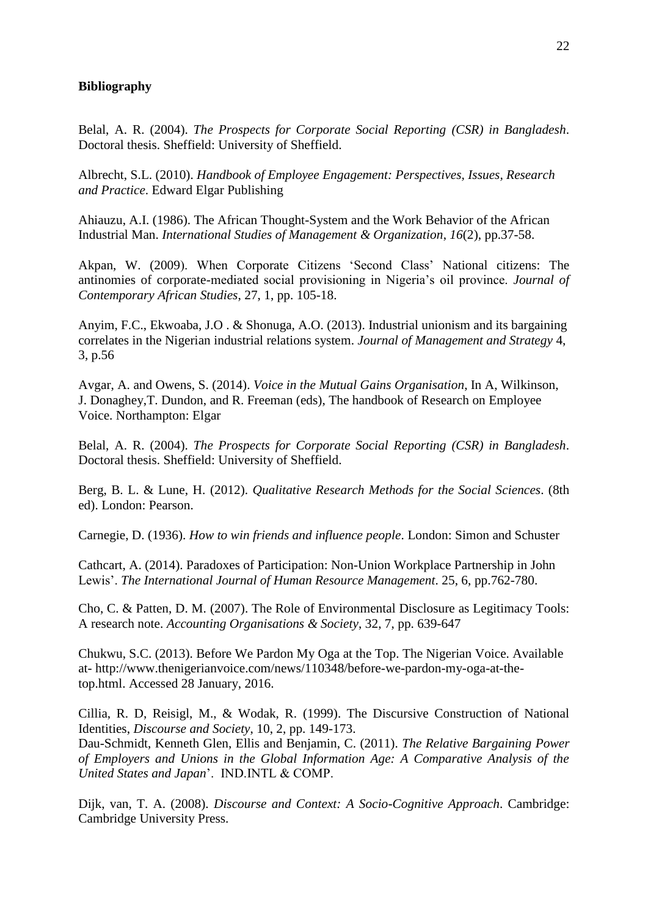## **Bibliography**

Belal, A. R. (2004). *The Prospects for Corporate Social Reporting (CSR) in Bangladesh*. Doctoral thesis. Sheffield: University of Sheffield.

Albrecht, S.L. (2010). *Handbook of Employee Engagement: Perspectives, Issues, Research and Practice*. Edward Elgar Publishing

Ahiauzu, A.I. (1986). The African Thought-System and the Work Behavior of the African Industrial Man. *International Studies of Management & Organization*, *16*(2), pp.37-58.

Akpan, W. (2009). When Corporate Citizens 'Second Class' National citizens: The antinomies of corporate-mediated social provisioning in Nigeria's oil province. *Journal of Contemporary African Studies*, 27, 1, pp. 105-18.

Anyim, F.C., Ekwoaba, J.O . & Shonuga, A.O. (2013). Industrial unionism and its bargaining correlates in the Nigerian industrial relations system. *Journal of Management and Strategy* 4, 3, p.56

Avgar, A. and Owens, S. (2014). *Voice in the Mutual Gains Organisation*, In A, Wilkinson, J. Donaghey,T. Dundon, and R. Freeman (eds), The handbook of Research on Employee Voice. Northampton: Elgar

Belal, A. R. (2004). *The Prospects for Corporate Social Reporting (CSR) in Bangladesh*. Doctoral thesis. Sheffield: University of Sheffield.

Berg, B. L. & Lune, H. (2012). *Qualitative Research Methods for the Social Sciences*. (8th ed). London: Pearson.

Carnegie, D. (1936). *How to win friends and influence people*. London: Simon and Schuster

Cathcart, A. (2014). Paradoxes of Participation: Non-Union Workplace Partnership in John Lewis'. *The International Journal of Human Resource Management*. [25,](http://www.tandfonline.com/loi/rijh20?open=25#vol_25) [6,](http://www.tandfonline.com/toc/rijh20/25/6) pp.762-780.

Cho, C. & Patten, D. M. (2007). The Role of Environmental Disclosure as Legitimacy Tools: A research note. *Accounting Organisations & Society*, 32, 7, pp. 639-647

Chukwu, S.C. (2013). Before We Pardon My Oga at the Top. The Nigerian Voice. Available at- [http://www.thenigerianvoice.com/news/110348/before-we-pardon-my-oga-at-the](http://www.thenigerianvoice.com/news/110348/before-we-pardon-my-oga-at-the-top.html)[top.html.](http://www.thenigerianvoice.com/news/110348/before-we-pardon-my-oga-at-the-top.html) Accessed 28 January, 2016.

Cillia, R. D, Reisigl, M., & Wodak, R. (1999). The Discursive Construction of National Identities, *Discourse and Society*, 10, 2, pp. 149-173.

Dau-Schmidt, Kenneth Glen, Ellis and Benjamin, C. (2011). *The Relative Bargaining Power of Employers and Unions in the Global Information Age: A Comparative Analysis of the United States and Japan*'. IND.INTL & COMP.

Dijk, van, T. A. (2008). *Discourse and Context: A Socio-Cognitive Approach*. Cambridge: Cambridge University Press.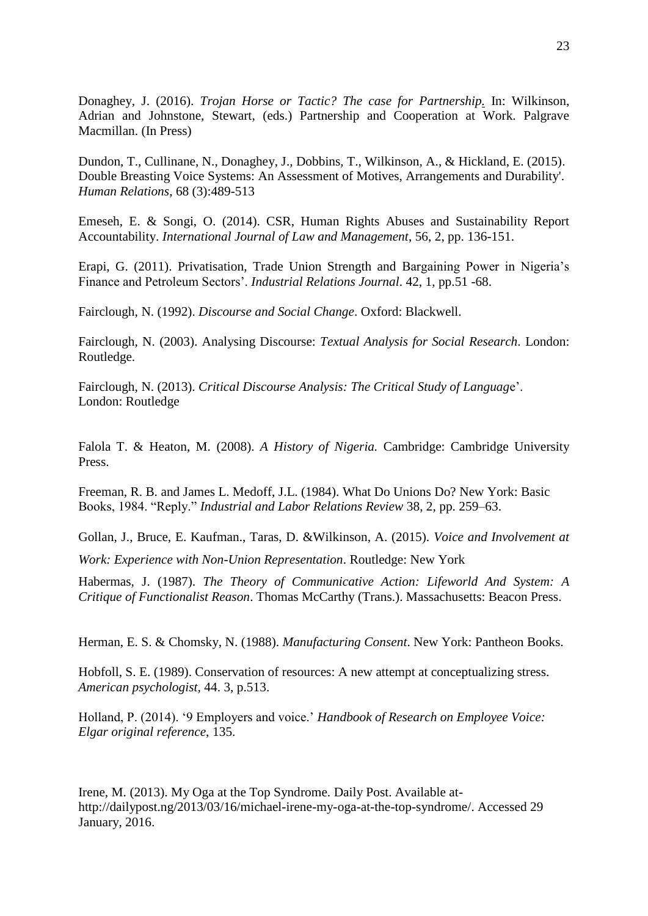Donaghey, J. (2016). *[Trojan Horse or Tactic? The case for Partnership.](http://wrap.warwick.ac.uk/72412/)* In: Wilkinson, Adrian and Johnstone, Stewart, (eds.) Partnership and Cooperation at Work. Palgrave Macmillan. (In Press)

Dundon, T., Cullinane, N., Donaghey, J., Dobbins, T., Wilkinson, A., & Hickland, E. (2015). Double Breasting Voice Systems: An Assessment of Motives, Arrangements and Durability'. *Human Relations*, 68 (3):489-513

Emeseh, E. & Songi, O. (2014). CSR, Human Rights Abuses and Sustainability Report Accountability. *International Journal of Law and Management*, 56, 2, pp. 136-151.

Erapi, G. (2011). Privatisation, Trade Union Strength and Bargaining Power in Nigeria's Finance and Petroleum Sectors'. *Industrial Relations Journal*. 42, 1, pp.51 -68.

Fairclough, N. (1992). *Discourse and Social Change*. Oxford: Blackwell.

Fairclough, N. (2003). Analysing Discourse: *Textual Analysis for Social Research*. London: Routledge.

Fairclough, N. (2013). *Critical Discourse Analysis: The Critical Study of Languag*e'. London: Routledge

Falola T. & Heaton, M. (2008). *A History of Nigeria.* Cambridge: Cambridge University Press.

Freeman, R. B. and James L. Medoff, J.L. (1984). What Do Unions Do? New York: Basic Books, 1984. "Reply." *Industrial and Labor Relations Review* 38, 2, pp. 259–63.

Gollan, J., Bruce, E. Kaufman., Taras, D. &Wilkinson, A. (2015). *Voice and Involvement at* 

*Work: Experience with Non-Union Representation*. Routledge: New York

Habermas, J. (1987). *The Theory of Communicative Action: Lifeworld And System: A Critique of Functionalist Reason*. Thomas McCarthy (Trans.). Massachusetts: Beacon Press.

Herman, E. S. & Chomsky, N. (1988). *Manufacturing Consent*. New York: Pantheon Books.

Hobfoll, S. E. (1989). Conservation of resources: A new attempt at conceptualizing stress. *American psychologist,* 44. 3, p.513.

Holland, P. (2014). '9 Employers and voice.' *Handbook of Research on Employee Voice: Elgar original reference*, 135.

Irene, M. (2013). My Oga at the Top Syndrome. Daily Post. Available at[http://dailypost.ng/2013/03/16/michael-irene-my-oga-at-the-top-syndrome/.](http://dailypost.ng/2013/03/16/michael-irene-my-oga-at-the-top-syndrome/) Accessed 29 January, 2016.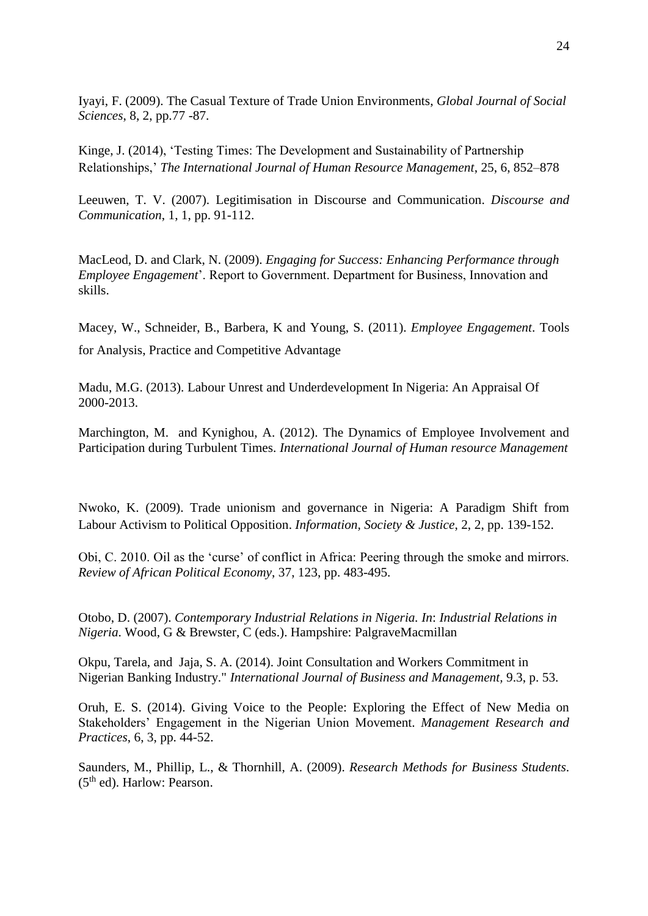Iyayi, F. (2009). The Casual Texture of Trade Union Environments, *Global Journal of Social Sciences*, 8, 2, pp.77 -87.

Kinge, J. (2014), 'Testing Times: The Development and Sustainability of Partnership Relationships,' *The International Journal of Human Resource Management*, 25, 6, 852–878

Leeuwen, T. V. (2007). Legitimisation in Discourse and Communication. *Discourse and Communication*, 1, 1, pp. 91-112.

MacLeod, D. and Clark, N. (2009). *Engaging for Success: Enhancing Performance through Employee Engagement*'. Report to Government. Department for Business, Innovation and skills.

Macey, W., Schneider, B., Barbera, K and Young, S. (2011). *Employee Engagement*. Tools for Analysis, Practice and Competitive Advantage

Madu, M.G. (2013). Labour Unrest and Underdevelopment In Nigeria: An Appraisal Of 2000-2013.

Marchington, M. and Kynighou, A. (2012). The Dynamics of Employee Involvement and Participation during Turbulent Times. *International Journal of Human resource Management*

Nwoko, K. (2009). Trade unionism and governance in Nigeria: A Paradigm Shift from Labour Activism to Political Opposition. *Information, Society & Justice*, 2, 2, pp. 139-152.

Obi, C. 2010. Oil as the 'curse' of conflict in Africa: Peering through the smoke and mirrors. *Review of African Political Economy*, 37, 123, pp. 483-495.

Otobo, D. (2007). *Contemporary Industrial Relations in Nigeria. In*: *Industrial Relations in Nigeria*. Wood, G & Brewster, C (eds.). Hampshire: PalgraveMacmillan

Okpu, Tarela, and Jaja, S. A. (2014). Joint Consultation and Workers Commitment in Nigerian Banking Industry." *International Journal of Business and Management,* 9.3, p. 53.

Oruh, E. S. (2014). Giving Voice to the People: Exploring the Effect of New Media on Stakeholders' Engagement in the Nigerian Union Movement. *Management Research and Practices*, 6, 3, pp. 44-52.

Saunders, M., Phillip, L., & Thornhill, A. (2009). *Research Methods for Business Students*.  $(5<sup>th</sup>$  ed). Harlow: Pearson.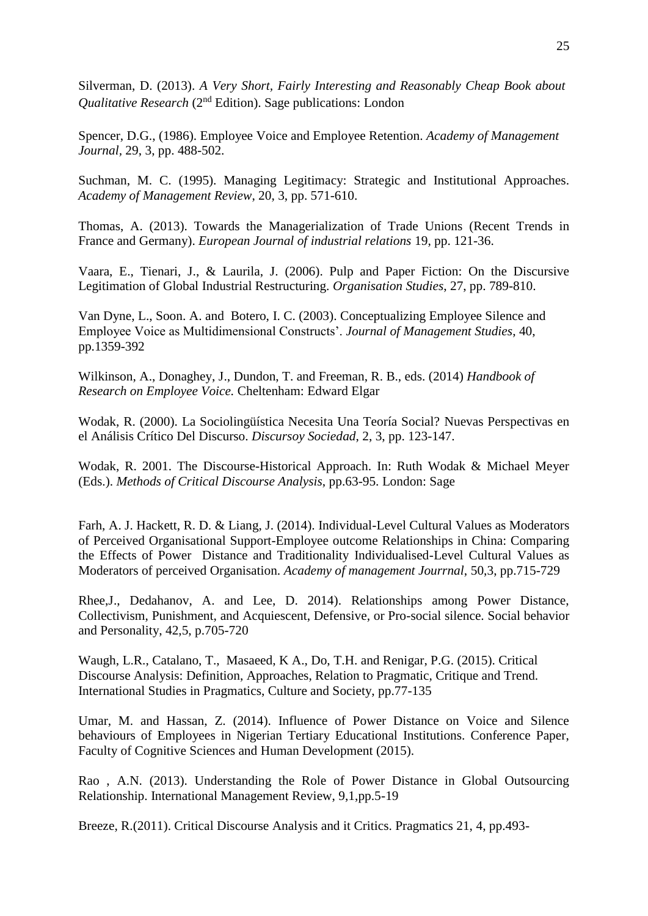Silverman, D. (2013). *A Very Short, Fairly Interesting and Reasonably Cheap Book about Qualitative Research* (2<sup>nd</sup> Edition). Sage publications: London

Spencer, D.G., (1986). Employee Voice and Employee Retention. *Academy of Management Journal,* 29, 3, pp. 488-502.

Suchman, M. C. (1995). Managing Legitimacy: Strategic and Institutional Approaches. *Academy of Management Review*, 20, 3, pp. 571-610.

Thomas, A. (2013). Towards the Managerialization of Trade Unions (Recent Trends in France and Germany). *European Journal of industrial relations* 19, pp. 121-36.

Vaara, E., Tienari, J., & Laurila, J. (2006). Pulp and Paper Fiction: On the Discursive Legitimation of Global Industrial Restructuring. *Organisation Studies*, 27, pp. 789-810.

Van Dyne, L., Soon. A. and Botero, I. C. (2003). Conceptualizing Employee Silence and Employee Voice as Multidimensional Constructs'. *Journal of Management Studies*, 40, pp.1359-392

Wilkinson, A., Donaghey, J., Dundon, T. and Freeman, R. B., eds. (2014) *[Handbook of](http://wrap.warwick.ac.uk/72416/)  [Research on Employee Voice.](http://wrap.warwick.ac.uk/72416/)* Cheltenham: Edward Elgar

Wodak, R. (2000). La Sociolingüística Necesita Una Teoría Social? Nuevas Perspectivas en el Análisis Crítico Del Discurso. *Discursoy Sociedad*, 2, 3, pp. 123-147.

Wodak, R. 2001. The Discourse-Historical Approach. In: Ruth Wodak & Michael Meyer (Eds.). *Methods of Critical Discourse Analysis*, pp.63-95. London: Sage

Farh, A. J. Hackett, R. D. & Liang, J. (2014). Individual-Level Cultural Values as Moderators of Perceived Organisational Support-Employee outcome Relationships in China: Comparing the Effects of Power Distance and Traditionality Individualised-Level Cultural Values as Moderators of perceived Organisation. *Academy of management Jourrnal*, 50,3, pp.715-729

Rhee,J., Dedahanov, A. and Lee, D. 2014). Relationships among Power Distance, Collectivism, Punishment, and Acquiescent, Defensive, or Pro-social silence. Social behavior and Personality, 42,5, p.705-720

Waugh, L.R., Catalano, T., Masaeed, K A., Do, T.H. and Renigar, P.G. (2015). Critical Discourse Analysis: Definition, Approaches, Relation to Pragmatic, Critique and Trend. International Studies in Pragmatics, Culture and Society, pp.77-135

Umar, M. and Hassan, Z. (2014). Influence of Power Distance on Voice and Silence behaviours of Employees in Nigerian Tertiary Educational Institutions. Conference Paper, Faculty of Cognitive Sciences and Human Development (2015).

Rao , A.N. (2013). Understanding the Role of Power Distance in Global Outsourcing Relationship. International Management Review, 9,1,pp.5-19

Breeze, R.(2011). Critical Discourse Analysis and it Critics. Pragmatics 21, 4, pp.493-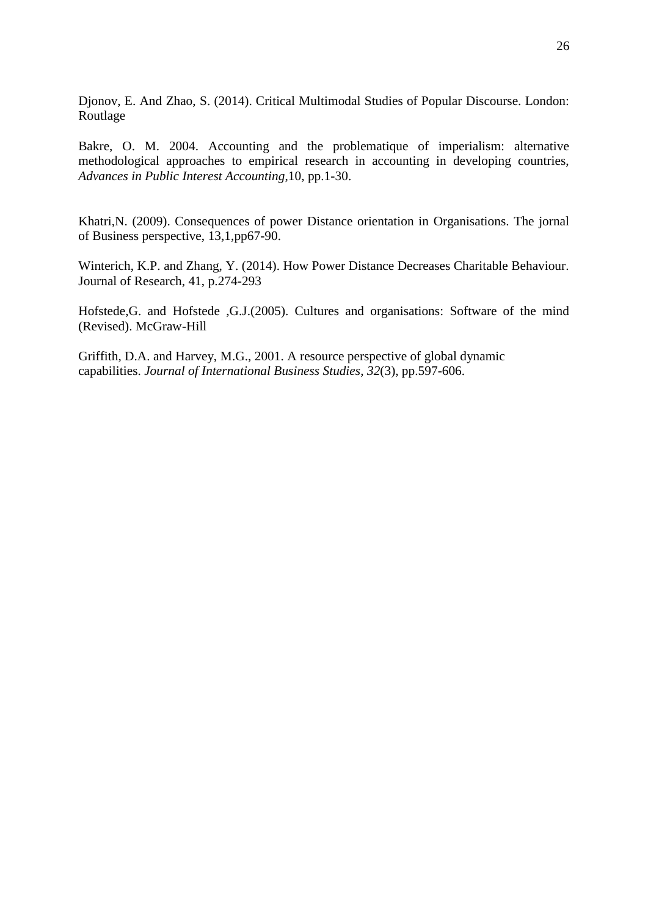Djonov, E. And Zhao, S. (2014). Critical Multimodal Studies of Popular Discourse. London: Routlage

Bakre, O. M. 2004. Accounting and the problematique of imperialism: alternative methodological approaches to empirical research in accounting in developing countries, *Advances in Public Interest Accounting*,10, pp.1-30.

Khatri,N. (2009). Consequences of power Distance orientation in Organisations. The jornal of Business perspective, 13,1,pp67-90.

Winterich, K.P. and Zhang, Y. (2014). How Power Distance Decreases Charitable Behaviour. Journal of Research, 41, p.274-293

Hofstede,G. and Hofstede ,G.J.(2005). Cultures and organisations: Software of the mind (Revised). McGraw-Hill

Griffith, D.A. and Harvey, M.G., 2001. A resource perspective of global dynamic capabilities. *Journal of International Business Studies*, *32*(3), pp.597-606.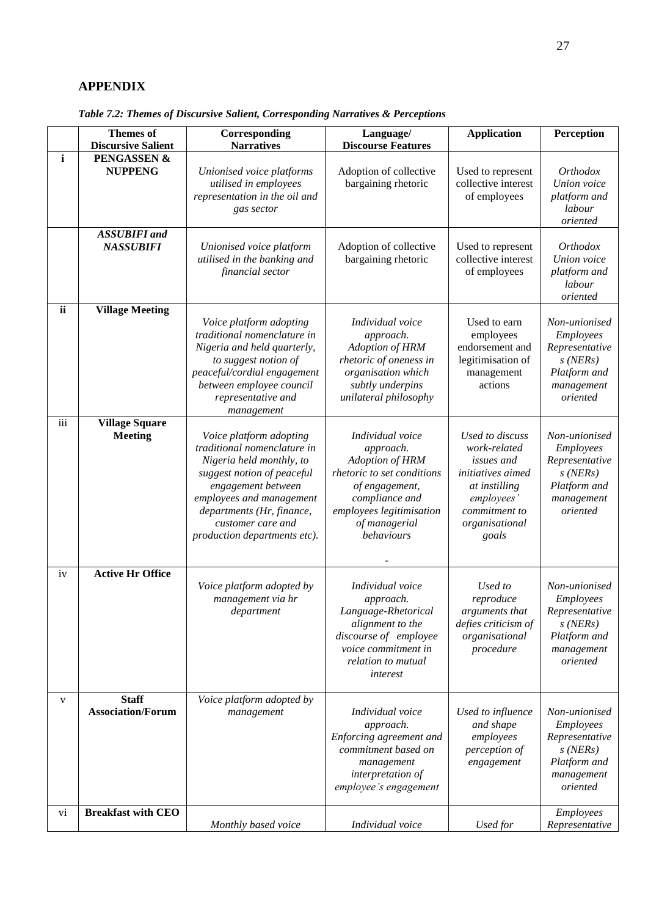# **APPENDIX**

|             | <b>Themes of</b><br><b>Discursive Salient</b> | Corresponding<br><b>Narratives</b>                                                                                                                                                                                                                   | Language/<br><b>Discourse Features</b>                                                                                                                                        | <b>Application</b>                                                                                                                                   | Perception                                                                                               |  |
|-------------|-----------------------------------------------|------------------------------------------------------------------------------------------------------------------------------------------------------------------------------------------------------------------------------------------------------|-------------------------------------------------------------------------------------------------------------------------------------------------------------------------------|------------------------------------------------------------------------------------------------------------------------------------------------------|----------------------------------------------------------------------------------------------------------|--|
| $\mathbf i$ | PENGASSEN &<br><b>NUPPENG</b>                 | Unionised voice platforms<br>utilised in employees<br>representation in the oil and<br>gas sector                                                                                                                                                    | Adoption of collective<br>bargaining rhetoric                                                                                                                                 | Used to represent<br>collective interest<br>of employees                                                                                             | <i>Orthodox</i><br>Union voice<br>platform and<br>labour<br>oriented                                     |  |
|             | <b>ASSUBIFI</b> and<br><b>NASSUBIFI</b>       | Unionised voice platform<br>utilised in the banking and<br>financial sector                                                                                                                                                                          | Adoption of collective<br>bargaining rhetoric                                                                                                                                 | Used to represent<br>collective interest<br>of employees                                                                                             | <b>Orthodox</b><br>Union voice<br>platform and<br>labour<br>oriented                                     |  |
| ii          | <b>Village Meeting</b>                        | Voice platform adopting<br>traditional nomenclature in<br>Nigeria and held quarterly,<br>to suggest notion of<br>peaceful/cordial engagement<br>between employee council<br>representative and<br>management                                         | Individual voice<br>approach.<br>Adoption of HRM<br>rhetoric of oneness in<br>organisation which<br>subtly underpins<br>unilateral philosophy                                 | Used to earn<br>employees<br>endorsement and<br>legitimisation of<br>management<br>actions                                                           | Non-unionised<br><b>Employees</b><br>Representative<br>s(NERs)<br>Platform and<br>management<br>oriented |  |
| iii         | <b>Village Square</b><br><b>Meeting</b>       | Voice platform adopting<br>traditional nomenclature in<br>Nigeria held monthly, to<br>suggest notion of peaceful<br>engagement between<br>employees and management<br>departments (Hr, finance,<br>customer care and<br>production departments etc). | Individual voice<br>approach.<br>Adoption of HRM<br>rhetoric to set conditions<br>of engagement,<br>compliance and<br>employees legitimisation<br>of managerial<br>behaviours | Used to discuss<br>work-related<br><i>issues and</i><br>initiatives aimed<br>at instilling<br>employees'<br>commitment to<br>organisational<br>goals | Non-unionised<br>Employees<br>Representative<br>s(NERs)<br>Platform and<br>management<br>oriented        |  |
| iv          | <b>Active Hr Office</b>                       | Voice platform adopted by<br>management via hr<br>department                                                                                                                                                                                         | Individual voice<br>approach.<br>Language-Rhetorical<br>alignment to the<br>discourse of employee<br>voice commitment in<br>relation to mutual<br>interest                    | Used to<br>reproduce<br>arguments that<br>defies criticism of<br>organisational<br>procedure                                                         | Non-unionised<br>Employees<br>Representative<br>s(NERs)<br>Platform and<br>management<br>oriented        |  |
| V           | <b>Staff</b><br><b>Association/Forum</b>      | Voice platform adopted by<br>management                                                                                                                                                                                                              | Individual voice<br>approach.<br>Enforcing agreement and<br>commitment based on<br>management<br>interpretation of<br>employee's engagement                                   | Used to influence<br>and shape<br>employees<br>perception of<br>engagement                                                                           | Non-unionised<br>Employees<br>Representative<br>s(NERs)<br>Platform and<br>management<br>oriented        |  |
| vi          | <b>Breakfast with CEO</b>                     | Monthly based voice                                                                                                                                                                                                                                  | Individual voice                                                                                                                                                              | Used for                                                                                                                                             | Employees<br>Representative                                                                              |  |

*Table 7.2: Themes of Discursive Salient, Corresponding Narratives & Perceptions*